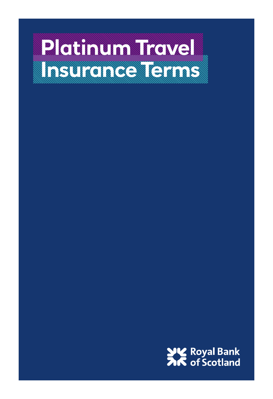# **Platinum Travel Insurance Terms**

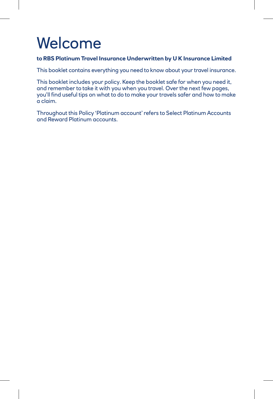# Welcome

#### **to RBS Platinum Travel Insurance Underwritten by U K Insurance Limited**

This booklet contains everything you need to know about your travel insurance.

This booklet includes your policy. Keep the booklet safe for when you need it, and remember to take it with you when you travel. Over the next few pages, you'll find useful tips on what to do to make your travels safer and how to make a claim.

Throughout this Policy 'Platinum account' refers to Select Platinum Accounts and Reward Platinum accounts.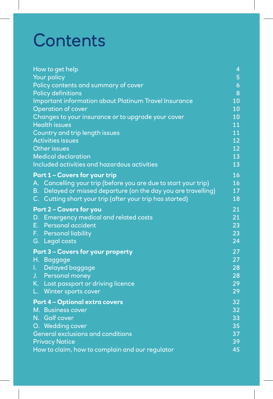# **Contents**

| How to get help                                                          | 4                   |
|--------------------------------------------------------------------------|---------------------|
| Your policy                                                              | 5                   |
| Policy contents and summary of cover                                     | $\ddot{\mathbf{6}}$ |
| <b>Policy definitions</b>                                                | 8                   |
| Important information about Platinum Travel Insurance                    | 10                  |
| <b>Operation of cover</b>                                                | 10                  |
| Changes to your insurance or to upgrade your cover                       | 10                  |
| <b>Health issues</b>                                                     | 11                  |
| Country and trip length issues                                           | 11                  |
| <b>Activities issues</b>                                                 | 12                  |
| <b>Other issues</b>                                                      | 12                  |
| <b>Medical declaration</b>                                               | 13                  |
| <b>Included activities and hazardous activities</b>                      | 13                  |
| <b>Part 1 - Covers for your trip</b>                                     | 16                  |
| A. Cancelling your trip (before you are due to start your trip)          | 16                  |
| <b>B.</b><br>Delayed or missed departure (on the day you are travelling) | 17                  |
| C. Cutting short your trip (after your trip has started)                 | 18                  |
| <b>Part 2 - Covers for you</b>                                           | 21                  |
| D. Emergency medical and related costs                                   | 21                  |
| E.,<br>Personal accident                                                 | 23                  |
| F. Personal liability                                                    | 23                  |
| G. Legal costs                                                           | 24                  |
|                                                                          |                     |
| <b>Part 3 - Covers for your property</b>                                 | 27                  |
| Η.<br><b>Baggage</b>                                                     | 27<br>28            |
| Delayed baggage<br>L.                                                    | 28                  |
| J.<br>Personal money                                                     | 29                  |
| K. Lost passport or driving licence                                      | 29                  |
| Winter sports cover<br>L.                                                |                     |
| <b>Part 4 - Optional extra covers</b>                                    | 32                  |
| M. Business cover                                                        | 32                  |
| N. Golf cover                                                            | 33                  |
| O. Wedding cover                                                         | 35                  |
| General exclusions and conditions                                        | 37                  |
| <b>Privacy Notice</b>                                                    | 39                  |
| How to claim, how to complain and our regulator                          | 45                  |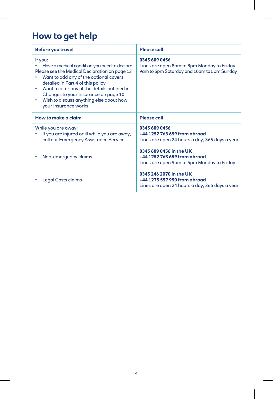# **How to get help**

| <b>Before you travel</b>                                                                                                                                                                                                                                                                                                                            | Please call                                                                                                |
|-----------------------------------------------------------------------------------------------------------------------------------------------------------------------------------------------------------------------------------------------------------------------------------------------------------------------------------------------------|------------------------------------------------------------------------------------------------------------|
| If you:<br>Have a medical condition you need to declare.<br>Please see the Medical Declaration on page 13<br>Want to add any of the optional covers<br>detailed in Part 4 of this policy<br>Want to alter any of the details outlined in<br>Changes to your insurance on page 10<br>Wish to discuss anything else about how<br>your insurance works | 0345 609 0456<br>Lines are open 8am to 8pm Monday to Friday,<br>9am to 5pm Saturday and 10am to 5pm Sunday |
| How to make a claim                                                                                                                                                                                                                                                                                                                                 | <b>Please call</b>                                                                                         |
| While you are away:<br>If you are injured or ill while you are away,<br>call our Emergency Assistance Service                                                                                                                                                                                                                                       | 0345 609 0456<br>+44 1252 763 659 from abroad<br>Lines are open 24 hours a day, 365 days a year            |
| Non-emergency claims                                                                                                                                                                                                                                                                                                                                | 0345 609 0456 in the UK<br>+44 1252 763 659 from abroad<br>Lines are open 9am to 5pm Monday to Friday      |
| Legal Costs claims                                                                                                                                                                                                                                                                                                                                  | 0345 246 2070 in the UK<br>+44 1275 557 950 from abroad<br>Lines are open 24 hours a day, 365 days a year  |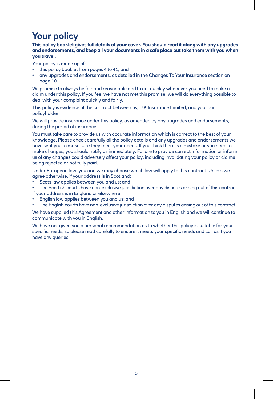# **Your policy**

**This policy booklet gives full details of your cover. You should read it along with any upgrades and endorsements, and keep all your documents in a safe place but take them with you when you travel.**

Your policy is made up of:

- this policy booklet from pages 4 to 41; and
- any upgrades and endorsements, as detailed in the Changes To Your Insurance section on page 10

We promise to always be fair and reasonable and to act quickly whenever you need to make a claim under this policy. If you feel we have not met this promise, we will do everything possible to deal with your complaint quickly and fairly.

This policy is evidence of the contract between us, U K Insurance Limited, and you, our policyholder.

We will provide insurance under this policy, as amended by any upgrades and endorsements, during the period of insurance.

You must take care to provide us with accurate information which is correct to the best of your knowledge. Please check carefully all the policy details and any upgrades and endorsements we have sent you to make sure they meet your needs. If you think there is a mistake or you need to make changes, you should notify us immediately. Failure to provide correct information or inform us of any changes could adversely affect your policy, including invalidating your policy or claims being rejected or not fully paid.

Under European law, you and we may choose which law will apply to this contract. Unless we agree otherwise, if your address is in Scotland:

- Scots law applies between you and us; and
- The Scottish courts have non-exclusive jurisdiction over any disputes arising out of this contract. If your address is in England or elsewhere:
- English law applies between you and us; and
- The English courts have non-exclusive jurisdiction over any disputes arising out of this contract.

We have supplied this Agreement and other information to you in English and we will continue to communicate with you in English.

We have not given you a personal recommendation as to whether this policy is suitable for your specific needs, so please read carefully to ensure it meets your specific needs and call us if you have any queries.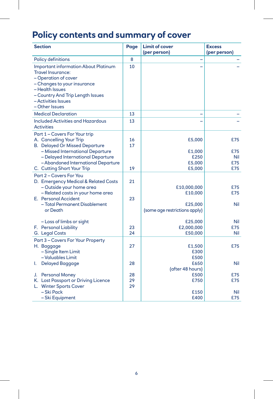# **Policy contents and summary of cover**

| <b>Section</b>                                                                                                                                                                                                                 | Page           | <b>Limit of cover</b><br>(per person) | <b>Excess</b><br>(per person) |
|--------------------------------------------------------------------------------------------------------------------------------------------------------------------------------------------------------------------------------|----------------|---------------------------------------|-------------------------------|
| Policy definitions                                                                                                                                                                                                             | 8              |                                       |                               |
| <b>Important information About Platinum</b><br><b>Travel Insurance:</b><br>– Operation of cover<br>- Changes to your insurance<br>– Health Issues<br>- Country And Trip Length Issues<br>– Activities Issues<br>- Other Issues | 10             |                                       |                               |
| <b>Medical Declaration</b>                                                                                                                                                                                                     | 13             |                                       |                               |
| <b>Included Activities and Hazardous</b><br><b>Activities</b>                                                                                                                                                                  | 13             |                                       |                               |
| Part 1 - Covers For Your trip<br>A. Cancelling Your Trip<br><b>B.</b> Delayed Or Missed Departure<br>- Missed International Departure<br>- Delayed International Departure<br>- Abandoned International Departure              | 16<br>17       | £5,000<br>£1,000<br>£250<br>£5,000    | £75<br>£75<br>Nil<br>£75      |
| C. Cutting Short Your Trip                                                                                                                                                                                                     | 19             | £5,000                                | £75                           |
| Part 2 - Covers For You<br>D. Emergency Medical & Related Costs<br>- Outside your home area<br>- Related costs in your home area<br>E. Personal Accident<br>- Total Permanent Disablement                                      | 21<br>23       | £10,000,000<br>£10,000<br>£25,000     | £75<br>£75<br>Nil             |
| or Death                                                                                                                                                                                                                       |                | (some age restrictions apply)         |                               |
| - Loss of limbs or sight<br>F. Personal Liability<br>G. Legal Costs                                                                                                                                                            | 23<br>24       | £25,000<br>£2,000,000<br>£50,000      | Nil<br>£75<br>Nil             |
| Part 3 - Covers For Your Property<br>H. Baggage<br>- Single Item Limit<br>- Valuables Limit                                                                                                                                    | 27             | £1,500<br>£300<br>£500                | £75                           |
| <b>Delayed Baggage</b><br>I.                                                                                                                                                                                                   | 28             | £650<br>(after 48 hours)              | Nil                           |
| J. Personal Money<br>K. Lost Passport or Driving Licence<br>L. Winter Sports Cover                                                                                                                                             | 28<br>29<br>29 | £500<br>£750                          | £75<br>£75                    |
| - Ski Pack<br>- Ski Equipment                                                                                                                                                                                                  |                | £150<br>£400                          | Nil<br>£75                    |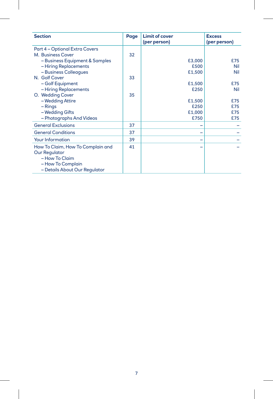| <b>Section</b>                    | Page | <b>Limit of cover</b><br>(per person) | <b>Excess</b><br>(per person) |
|-----------------------------------|------|---------------------------------------|-------------------------------|
| Part 4 - Optional Extra Covers    |      |                                       |                               |
| M. Business Cover                 | 32   |                                       |                               |
| - Business Equipment & Samples    |      | £3,000                                | £75                           |
| - Hiring Replacements             |      | £500                                  | Nil                           |
| - Business Colleagues             |      | £1,500                                | Nil                           |
| N. Golf Cover                     | 33   |                                       |                               |
| - Golf Equipment                  |      | £1,500                                | £75                           |
| - Hiring Replacements             |      | £250                                  | Nil                           |
| O. Wedding Cover                  | 35   |                                       |                               |
| - Wedding Attire                  |      | £1,500                                | £75                           |
| $-$ Rings                         |      | £250                                  | £75                           |
| - Wedding Gifts                   |      | £1,000                                | £75                           |
| - Photographs And Videos          |      | £750                                  | £75                           |
| <b>General Exclusions</b>         | 37   | -                                     |                               |
| <b>General Conditions</b>         | 37   | -                                     |                               |
| <b>Your Information</b>           | 39   | -                                     |                               |
| How To Claim, How To Complain and | 41   |                                       |                               |
| <b>Our Regulator</b>              |      |                                       |                               |
| - How To Claim                    |      |                                       |                               |
| - How To Complain                 |      |                                       |                               |
| - Details About Our Regulator     |      |                                       |                               |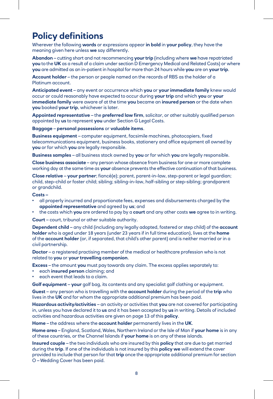## **Policy definitions**

Wherever the following **words** or expressions appear **in bold** in **your policy**, they have the meaning given here unless **we** say differently.

**Abandon** – cutting short and not recommencing **your trip** (including where **we** have repatriated **you** to the **UK** as a result of a claim under section D Emergency Medical and Related Costs) or where **you** are admitted as an in-patient in hospital for more than 24 hours while **you** are on **your trip**.

**Account holder** – the person or people named on the records of RBS as the holder of a Platinum account.

**Anticipated event** – any event or occurrence which **you** or **your immediate family** knew would occur or could reasonably have expected to occur during **your trip** and which **you** or **your immediate family** were aware of at the time **you** became an **insured person** or the date when **you** booked **your trip**, whichever is later.

**Appointed representative** – the **preferred law firm**, solicitor, or other suitably qualified person appointed by **us** to represent **you** under Section G Legal Costs.

**Baggage** – **personal possessions** or **valuable items**.

**Business equipment** – computer equipment, facsimile machines, photocopiers, fixed telecommunications equipment, business books, stationery and office equipment all owned by **you** or for which **you** are legally responsible.

**Business samples** – all business stock owned by **you** or for which **you** are legally responsible.

**Close business associate** – any person whose absence from business for one or more complete working day at the same time as **your** absence prevents the effective continuation of that business.

**Close relative** – **your partner**; fiancé(e); parent, parent-in-law, step-parent or legal guardian; child, step-child or foster child; sibling; sibling-in-law, half-sibling or step-sibling; grandparent or grandchild.

#### **Costs –**

- all properly incurred and proportionate fees, expenses and disbursements charged by the **appointed representative** and agreed by **us**; and
- the costs which **you** are ordered to pay by a **court** and any other costs **we** agree to in writing.

**Court** – court, tribunal or other suitable authority.

**Dependent child** – any child (including any legally adopted, fostered or step child) of the **account holder** who is aged under 18 years (under 23 years if in full time education), lives at the **home** of the **account holder** (or, if separated, that child's other parent) and is neither married or in a civil partnership.

**Doctor** – a registered practising member of the medical or healthcare profession who is not related to **you** or **your travelling companion**.

**Excess** – the amount **you** must pay towards any claim. The excess applies separately to:

- each **insured person** claiming; and
- each event that leads to a claim.

**Golf equipment** – **your** golf bag, its contents and any specialist golf clothing or equipment.

**Guest** – any person who is travelling with the **account holder** during the period of the **trip** who lives in the **UK** and for whom the appropriate additional premium has been paid.

**Hazardous activity/activities** – an activity or activities that **you** are not covered for participating in, unless you have declared it to **us** and it has been accepted by **us** in writing. Details of included activities and hazardous activities are given on page 13 of this **policy**.

**Home** – the address where the **account holder** permanently lives in the **UK**.

**Home area** – England, Scotland, Wales, Northern Ireland or the Isle of Man if **your home** is in any of these countries, or the Channel Islands if **your home** is on any of these islands.

**Insured couple** – the two individuals who are insured by this **policy** that are due to get married during the **trip**. If one of the individuals is not insured by this **policy we** will extend the cover provided to include that person for that **trip** once the appropriate additional premium for section O – Wedding Cover has been paid.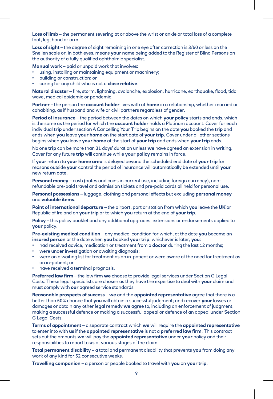**Loss of limb** – the permanent severing at or above the wrist or ankle or total loss of a complete foot, leg, hand or arm.

**Loss of sight** – the degree of sight remaining in one eye after correction is 3/60 or less on the Snellen scale or, in both eyes, means **your** name being added to the Register of Blind Persons on the authority of a fully qualified ophthalmic specialist.

**Manual work** – paid or unpaid work that involves:

- using, installing or maintaining equipment or machinery;
- building or construction; or
- caring for any child who is not a **close relative**.

**Natural disaster** – fire, storm, lightning, avalanche, explosion, hurricane, earthquake, flood, tidal wave, medical epidemic or pandemic.

**Partner** – the person the **account holder** lives with at **home** in a relationship, whether married or cohabiting, as if husband and wife or civil partners regardless of gender.

**Period of insurance** – the period between the dates on which **your policy** starts and ends, which is the same as the period for which the **account holder** holds a Platinum account. Cover for each individual **trip** under section A Cancelling Your Trip begins on the date **you** booked the **trip** and ends when **you** leave **your home** on the start date of **your trip**. Cover under all other sections begins when **you** leave **your home** at the start of **your trip** and ends when **your trip** ends.

No one **trip** can be more than 31 days' duration unless **we** have agreed an extension in writing. Cover for any future **trip** will continue while **your policy** remains in force.

If **your** return to **your home area** is delayed beyond the scheduled end date of **your trip** for reasons outside **your** control the period of insurance will automatically be extended until **your** new return date.

**Personal money** – cash (notes and coins in current use, including foreign currency), nonrefundable pre-paid travel and admission tickets and pre-paid cards all held for personal use.

**Personal possessions** – luggage, clothing and personal effects but excluding **personal money** and **valuable items**.

**Point of international departure** – the airport, port or station from which **you** leave the **UK** or Republic of Ireland on **your trip** or to which **you** return at the end of **your trip**.

**Policy** – this policy booklet and any additional upgrades, extensions or endorsements applied to **your** policy.

**Pre-existing medical condition** – any medical condition for which, at the date **you** became an **insured person** or the date when **you** booked **your trip**, whichever is later, **you**:

- had received advice, medication or treatment from a **doctor** during the last 12 months;
- were under investigation or awaiting diagnosis;
- were on a waiting list for treatment as an in-patient or were aware of the need for treatment as an in-patient; or
- have received a terminal prognosis.

**Preferred law firm** – the law firm **we** choose to provide legal services under Section G Legal Costs. These legal specialists are chosen as they have the expertise to deal with **your** claim and must comply with **our** agreed service standards.

**Reasonable prospects of success** – **we** and the **appointed representative** agree that there is a better than 50% chance that **you** will obtain a successful judgment; and recover **your** losses or damages or obtain any other legal remedy **we** agree to, including an enforcement of judgment, making a successful defence or making a successful appeal or defence of an appeal under Section G Legal Costs.

**Terms of appointment** – a separate contract which **we** will require the **appointed representative** to enter into with **us** if the **appointed representative** is not a **preferred law firm**. This contract sets out the amounts **we** will pay the **appointed representative** under **your** policy and their responsibilities to report to **us** at various stages of the claim.

**Total permanent disability** – a total and permanent disability that prevents **you** from doing any work of any kind for 52 consecutive weeks.

**Travelling companion** – a person or people booked to travel with **you** on **your trip**.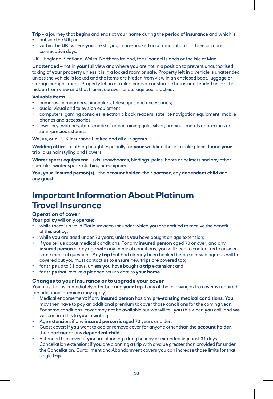**Trip** – a journey that begins and ends at **your home** during the **period of insurance** and which is:

- outside the **UK**; or
- within the **UK**, where **you** are staying in pre-booked accommodation for three or more consecutive days.

**UK** – England, Scotland, Wales, Northern Ireland, the Channel Islands or the Isle of Man.

**Unattended** – not in **your** full view and where **you** are not in a position to prevent unauthorised taking of **your** property unless it is in a locked room or safe. Property left in a vehicle is unattended unless the vehicle is locked and the items are hidden from view in an enclosed boot, luggage or storage compartment. Property left in a trailer, caravan or storage box is unattended unless it is hidden from view and that trailer, caravan or storage box is locked.

#### **Valuable items** –

- cameras, camcorders, binoculars, telescopes and accessories;
- audio, visual and television equipment;
- computers, gaming consoles, electronic book readers, satellite navigation equipment, mobile phones and accessories;
- jewellery, watches, items made of or containing gold, silver, precious metals or precious or semi-precious stones.

**We, us, our** – U K Insurance Limited and all our agents.

**Wedding attire** – clothing bought especially for **your** wedding that is to take place during **your trip**, plus hair styling and flowers.

**Winter sports equipment** – skis, snowboards, bindings, poles, boots or helmets and any other specialist winter sports clothing or equipment.

**You, your, insured person(s)** – the **account holder**, their **partner**, any **dependent child** and any **guest**.

## **Important Information About Platinum Travel Insurance**

#### **Operation of cover**

**Your policy** will only operate:

- while there is a valid Platinum account under which **you** are entitled to receive the benefit of this **policy**;
- while **you** are aged under 70 years, unless **you** have bought an age extension;
- if **you** tell **us** about medical conditions. For any **insured person** aged 70 or over, and any **insured person** of any age with any medical conditions, **you** will need to contact **us** to answer some medical questions. Any **trip** that had already been booked before a new diagnosis will be covered but you must contact **us** to ensure new **trips** are covered too;
- for **trips** up to 31 days, unless **you** have bought a **trip** extension; and
- for **trips** that involve a planned return date to **your home**.

#### **Changes to your insurance or to upgrade your cover**

**You** must tell us immediately after booking **your trip** if any of the following extra cover is required (an additional premium may apply):

- Medical endorsement: if any **insured person** has any **pre-existing medical conditions**. **You** may then have to pay an additional premium to cover those conditions for the coming year. For some conditions, cover may not be available but **we** will tell **you** this when **you** call, and **we** will confirm this to **you** in writing.
- Age extension: if any **insured person** is aged 70 years or older.
- Guest cover: if **you** want to add or remove cover for anyone other than the **account holder**, their **partner** or any **dependent child**.
- Extended trip cover: if **you** are planning a long holiday or extended **trip** past 31 days.
- Cancellation extension: if **you** are planning a **trip** with a value greater than provided for under the Cancellation, Curtailment and Abandonment covers **you** can increase those limits for that single **trip**.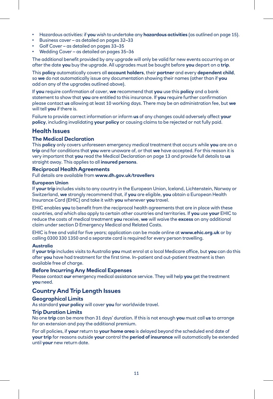- Hazardous activities: if **you** wish to undertake any **hazardous activities** (as outlined on page 15).
- Business cover as detailed on pages 32–33
- Golf Cover as detailed on pages 33–35
- Wedding Cover as detailed on pages 35–36

The additional benefit provided by any upgrade will only be valid for new events occurring on or after the date **you** buy the upgrade. All upgrades must be bought before **you** depart on a **trip**.

This **policy** automatically covers all **account holders**, their **partner** and every **dependent child**, so **we** do not automatically issue any documentation showing their names (other than if **you** add on any of the upgrades outlined above).

If **you** require confirmation of cover, **we** recommend that **you** use this **policy** and a bank statement to show that **you** are entitled to this insurance. If **you** require further confirmation please contact **us** allowing at least 10 working days. There may be an administration fee, but **we** will tell **you** if there is.

Failure to provide correct information or inform **us** of any changes could adversely affect **your policy**, including invalidating **your policy** or causing claims to be rejected or not fully paid.

#### **Health Issues**

#### **The Medical Declaration**

This **policy** only covers unforeseen emergency medical treatment that occurs while **you** are on a **trip** and for conditions that **you** were unaware of, or that **we** have accepted. For this reason it is very important that **you** read the Medical Declaration on page 13 and provide full details to **us** straight away. This applies to all **insured persons**.

#### **Reciprocal Health Agreements**

#### Full details are available from **www.dh.gov.uk/travellers**

#### **European Union**

If **your trip** includes visits to any country in the European Union, Iceland, Lichtenstein, Norway or Switzerland, **we** strongly recommend that, if **you** are eligible, **you** obtain a European Health Insurance Card (EHIC) and take it with **you** whenever **you** travel.

EHIC enables **you** to benefit from the reciprocal health agreements that are in place with these countries, and which also apply to certain other countries and territories. If **you** use **your** EHIC to reduce the costs of medical treatment **you** receive, **we** will waive the **excess** on any additional claim under section D Emergency Medical and Related Costs.

EHIC is free and valid for five years; application can be made online at **[www.ehic.org.uk](http://www.ehic.org.uk)** or by calling 0300 330 1350 and a separate card is required for every person travelling.

#### **Australia**

If **your trip** includes visits to Australia **you** must enrol at a local Medicare office, but **you** can do this after **you** have had treatment for the first time. In-patient and out-patient treatment is then available free of charge.

#### **Before Incurring Any Medical Expenses**

Please contact **our** emergency medical assistance service. They will help **you** get the treatment **you** need.

#### **Country And Trip Length Issues**

#### **Geographical Limits**

As standard **your policy** will cover **you** for worldwide travel.

#### **Trip Duration Limits**

No one **trip** can be more than 31 days' duration. If this is not enough **you** must call **us** to arrange for an extension and pay the additional premium.

For all policies, if **your** return to **your home area** is delayed beyond the scheduled end date of **your trip** for reasons outside **your** control the **period of insurance** will automatically be extended until **your** new return date.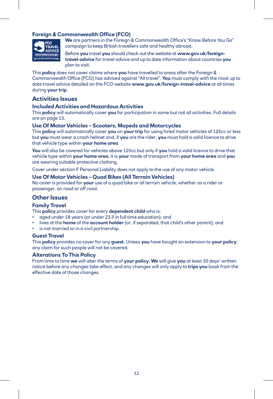#### **Foreign & Commonwealth Office (FCO)**



**We** are partners in the Foreign & Commonwealth Office's "Know Before You Go" campaign to keep British travellers safe and healthy abroad.

Before **you** travel **you** should check out the website at **www.gov.uk/foreigntravel-advice** for travel advice and up to date information about countries **you** plan to visit.

This **policy** does not cover claims where **you** have travelled to areas after the Foreign & Commonwealth Office (FCO) has advised against "All travel". **You** must comply with the most up to date travel advice detailed on the FCO website **www.gov.uk/foreign-travel-advice** at all times during **your trip**.

#### **Activities Issues**

#### **Included Activities and Hazardous Activities**

This **policy** will automatically cover **you** for participation in some but not all activities. Full details are on page 13.

#### **Use Of Motor Vehicles – Scooters, Mopeds and Motorcycles**

This **policy** will automatically cover **you** on **your trip** for using hired motor vehicles of 125cc or less but **you** must wear a crash helmet and, if **you** are the rider, **you** must hold a valid licence to drive that vehicle type within **your home area**.

**You** will also be covered for vehicles above 125cc but only if **you** hold a valid licence to drive that vehicle type within **your home area**, it is **your** mode of transport from **your home area** and **you** are wearing suitable protective clothing.

Cover under section F Personal Liability does not apply to the use of any motor vehicle.

#### **Use Of Motor Vehicles – Quad Bikes (All Terrain Vehicles)**

No cover is provided for **your** use of a quad bike or all terrain vehicle, whether as a rider or passenger, on road or off road.

#### **Other Issues**

#### **Family Travel**

This **policy** provides cover for every **dependent child** who is:

- aged under 18 years (or under 23 if in full time education); and
- lives at the **home** of the **account holder** (or, if separated, that child's other parent); and
- is not married or in a civil partnership.

#### **Guest Travel**

This **policy** provides no cover for any **guest**. Unless **you** have bought an extension to **your policy**, any claim for such people will not be covered.

#### **Alterations To This Policy**

From time to time **we** will alter the terms of **your policy**. **We** will give **you** at least 30 days' written notice before any changes take effect, and any changes will only apply to **trips you** book from the effective date of those changes.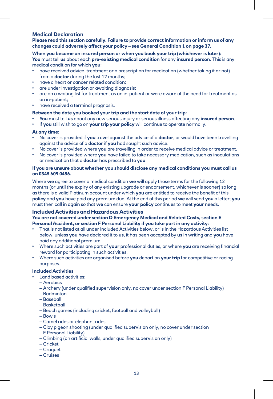#### **Medical Declaration**

**Please read this section carefully. Failure to provide correct information or inform us of any changes could adversely affect your policy – see General Condition 1 on page 37.**

#### **When you become an insured person or when you book your trip (whichever is later): You** must tell **us** about each **pre-existing medical condition** for any **insured person**. This is any medical condition for which **you**:

- have received advice, treatment or a prescription for medication (whether taking it or not) from a **doctor** during the last 12 months;
- have a heart or cancer related condition;
- are under investigation or awaiting diagnosis;
- are on a waiting list for treatment as an in-patient or were aware of the need for treatment as an in-patient;
- have received a terminal prognosis.

#### **Between the date you booked your trip and the start date of your trip:**

- **You** must tell **us** about any new serious injury or serious illness affecting any **insured person**.
- If **you** still wish to go on **your trip your policy** will continue to operate normally.

#### **At any time:**

- No cover is provided if **you** travel against the advice of a **doctor**, or would have been travelling against the advice of a **doctor** if **you** had sought such advice.
- No cover is provided where **you** are travelling in order to receive medical advice or treatment.
- No cover is provided where **you** have failed to take necessary medication, such as inoculations or medication that a **doctor** has prescribed to **you**.

#### **If you are unsure about whether you should disclose any medical conditions you must call us on 0345 609 0456.**

Where **we** agree to cover a medical condition **we** will apply those terms for the following 12 months (or until the expiry of any existing upgrade or endorsement, whichever is sooner) so long as there is a valid Platinum account under which **you** are entitled to receive the benefit of this **policy** and **you** have paid any premium due. At the end of this period **we** will send **you** a letter; **you** must then call in again so that **we** can ensure **your policy** continues to meet **your** needs.

#### **Included Activities and Hazardous Activities**

#### **You are not covered under section D Emergency Medical and Related Costs, section E Personal Accident, or section F Personal Liability if you take part in any activity:**

- That is not listed at all under Included Activities below, or is in the Hazardous Activities list below, unless **you** have declared it to **us**, it has been accepted by **us** in writing and **you** have paid any additional premium.
- Where such activities are part of **your** professional duties, or where **you** are receiving financial reward for participating in such activities.
- Where such activities are organised before **you** depart on **your trip** for competitive or racing purposes.

#### **Included Activities**

- Land based activities:
	- Aerobics
	- Archery (under qualified supervision only, no cover under section F Personal Liability)
	- Badminton
	- Baseball
	- Basketball
	- Beach games (including cricket, football and volleyball)
	- Bowls
	- Camel rides or elephant rides
	- Clay pigeon shooting (under qualified supervision only, no cover under section F Personal Liability)
	- Climbing (on artificial walls, under qualified supervision only)
	- Cricket
	- Croquet
	- Cruises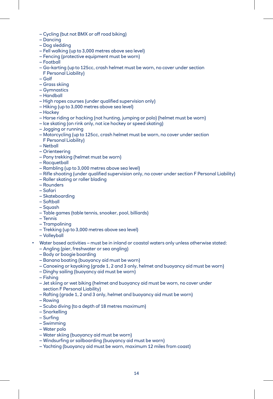- Cycling (but not BMX or off road biking)
- Dancing
- Dog sledding
- Fell walking (up to 3,000 metres above sea level)
- Fencing (protective equipment must be worn)
- Football
- Go-karting (up to 125cc, crash helmet must be worn, no cover under section F Personal Liability)
- Golf
- Grass skiing
- Gymnastics
- Handball
- High ropes courses (under qualified supervision only)
- Hiking (up to 3,000 metres above sea level)
- Hockey
- Horse riding or hacking (not hunting, jumping or polo) (helmet must be worn)
- Ice skating (on rink only, not ice hockey or speed skating)
- Jogging or running
- Motorcycling (up to 125cc, crash helmet must be worn, no cover under section F Personal Liability)
- Netball
- Orienteering
- Pony trekking (helmet must be worn)
- Racquetball
- Rambling (up to 3,000 metres above sea level)
- Rifle shooting (under qualified supervision only, no cover under section F Personal Liability)
- Roller skating or roller blading
- Rounders
- Safari
- Skateboarding
- Softball
- Squash
- Table games (table tennis, snooker, pool, billiards)
- Tennis
- Trampolining
- Trekking (up to 3,000 metres above sea level)
- Volleyball
- Water based activities must be in inland or coastal waters only unless otherwise stated:
- Angling (pier, freshwater or sea angling)
- Body or boogie boarding
- Banana boating (buoyancy aid must be worn)
- Canoeing or kayaking (grade 1, 2 and 3 only, helmet and buoyancy aid must be worn)
- Dinghy sailing (buoyancy aid must be worn)
- Fishing
- Jet skiing or wet biking (helmet and buoyancy aid must be worn, no cover under section F Personal Liability)
- Rafting (grade 1, 2 and 3 only, helmet and buoyancy aid must be worn)
- Rowing
- Scuba diving (to a depth of 18 metres maximum)
- Snorkelling
- Surfing
- Swimming
- Water polo
- Water skiing (buoyancy aid must be worn)
- Windsurfing or sailboarding (buoyancy aid must be worn)
- Yachting (buoyancy aid must be worn, maximum 12 miles from coast)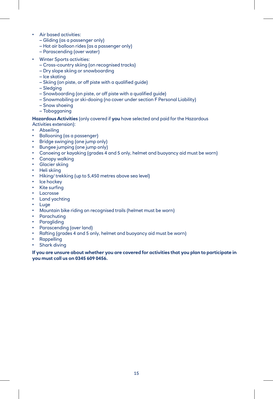- Air based activities:
	- Gliding (as a passenger only)
	- Hot air balloon rides (as a passenger only)
	- Parascending (over water)
- Winter Sports activities:
	- Cross-country skiing (on recognised tracks)
	- Dry slope skiing or snowboarding
	- Ice skating
	- Skiing (on piste, or off piste with a qualified guide)
	- Sledging
	- Snowboarding (on piste, or off piste with a qualified guide)
	- Snowmobiling or ski-dooing (no cover under section F Personal Liability)
	- Snow shoeing
	- Tobogganing

#### **Hazardous Activities** (only covered if **you** have selected and paid for the Hazardous

- Activities extension):
- Abseiling
- Ballooning (as a passenger)
- Bridge swinging (one jump only)
- Bungee jumping (one jump only)
- Canoeing or kayaking (grades 4 and 5 only, helmet and buoyancy aid must be worn)
- Canopy walking
- Glacier skiing
- Heli skiing
- Hiking/ trekking (up to 5,450 metres above sea level)
- Ice hockey
- Kite surfing
- Lacrosse
- Land yachting
- Luge
- Mountain bike riding on recognised trails (helmet must be worn)
- Parachuting
- Paragliding
- Parascending (over land)
- Rafting (grades 4 and 5 only, helmet and buoyancy aid must be worn)
- Rappelling
- **Shark diving**

#### **If you are unsure about whether you are covered for activities that you plan to participate in you must call us on 0345 609 0456.**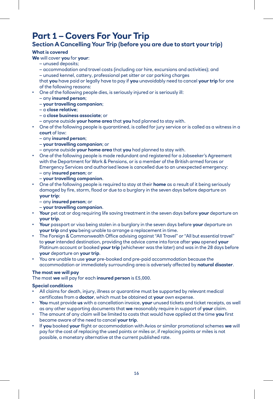# **Part 1 – Covers For Your Trip**

#### **Section A Cancelling Your Trip (before you are due to start your trip)**

#### **What is covered**

**We** will cover **you** for **your**:

- unused deposits;
- accommodation and travel costs (including car hire, excursions and activities); and

– unused kennel, cattery, professional pet sitter or car parking charges

that **you** have paid or legally have to pay if **you** unavoidably need to cancel **your trip** for one of the following reasons:

- One of the following people dies, is seriously injured or is seriously ill:
- any **insured person**;
- **your travelling companion**;
- a **close relative**;
- a **close business associate**; or
- anyone outside **your home area** that **you** had planned to stay with.
- One of the following people is quarantined, is called for jury service or is called as a witness in a **court** of law:
	- any **insured person**;
	- **your travelling companion**; or
	- anyone outside **your home area** that **you** had planned to stay with.
- One of the following people is made redundant and registered for a Jobseeker's Agreement with the Department for Work & Pensions, or is a member of the British armed forces or Emergency Services and authorised leave is cancelled due to an unexpected emergency: – any **insured person**; or
	- **your travelling companion**.
- One of the following people is required to stay at their **home** as a result of it being seriously damaged by fire, storm, flood or due to a burglary in the seven days before departure on **your trip**:
	- any **insured person**; or
	- **your travelling companion**.
- **Your** pet cat or dog requiring life saving treatment in the seven days before **your** departure on **your trip**.
- **Your** passport or visa being stolen in a burglary in the seven days before **your** departure on **your trip** and **you** being unable to arrange a replacement in time.
- The Foreign & Commonwealth Office advising against "All Travel" or "All but essential travel" to **your** intended destination, providing the advice came into force after **you** opened **your** Platinum account or booked **your trip** (whichever was the later) and was in the 28 days before **your** departure on **your trip**.
- You are unable to use **your** pre-booked and pre-paid accommodation because the accommodation or immediately surrounding area is adversely affected by **natural disaster**.

#### **The most we will pay**

The most **we** will pay for each **insured person** is £5,000.

#### **Special conditions**

- All claims for death, injury, illness or quarantine must be supported by relevant medical certificates from a **doctor**, which must be obtained at **your** own expense.
- **You** must provide **us** with a cancellation invoice, **your** unused tickets and ticket receipts, as well as any other supporting documents that **we** reasonably require in support of **your** claim.
- The amount of any claim will be limited to costs that would have applied at the time **you** first became aware of the need to cancel **your trip**.
- If **you** booked **your** flight or accommodation with Avios or similar promotional schemes **we** will pay for the cost of replacing the used points or miles or, if replacing points or miles is not possible, a monetary alternative at the current published rate.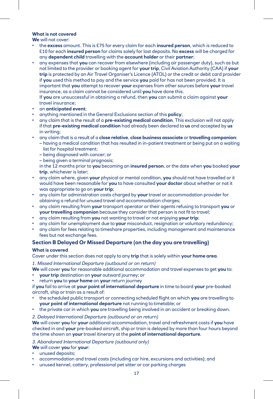#### **What is not covered**

**We** will not cover:

- the **excess** amount. This is £75 for every claim for each **insured person**, which is reduced to £10 for each **insured person** for claims solely for lost deposits. No **excess** will be charged for any **dependent child** travelling with the **account holder** or their **partner**;
- any expenses that **you** can recover from elsewhere (including air passenger duty), such as but not limited to the provider or booking agent for **your trip**, Civil Aviation Authority (CAA) if **your trip** is protected by an Air Travel Organiser's Licence (ATOL) or the credit or debit card provider if **you** used this method to pay and the service **you** paid for has not been provided. It is important that **you** attempt to recover **your** expenses from other sources before **your** travel insurance, as a claim cannot be considered until **you** have done this.

If **you** are unsuccessful in obtaining a refund, then **you** can submit a claim against **your** travel insurance;

- an **anticipated event**;
- anything mentioned in the General Exclusions section of this **policy**;
- any claim that is the result of a **pre-existing medical condition**. This exclusion will not apply if that **pre-existing medical condition** had already been declared to **us** and accepted by **us** in writing;
- any claim that is a result of a **close relative**, **close business associate** or **travelling companion**:
	- having a medical condition that has resulted in in-patient treatment or being put on a waiting list for hospital treatment;
	- being diagnosed with cancer; or
	- being given a terminal prognosis;

in the 12 months prior to **you** becoming an **insured person**, or the date when **you** booked **your trip**, whichever is later;

- any claim where, given **your** physical or mental condition, **you** should not have travelled or it would have been reasonable for **you** to have consulted **your doctor** about whether or not it was appropriate to go on **your trip**;
- any claim for administration costs charged by **your** travel or accommodation provider for obtaining a refund for unused travel and accommodation charges;
- any claim resulting from **your** transport operator or their agents refusing to transport **you** or **your travelling companion** because they consider that person is not fit to travel;
- any claim resulting from **you** not wanting to travel or not enjoying **your trip**;
- any claim for unemployment due to **your** misconduct, resignation or voluntary redundancy;
- any claim for fees relating to timeshare properties, including management and maintenance fees but not exchange fees.

#### **Section B Delayed Or Missed Departure (on the day you are travelling)**

#### **What is covered**

Cover under this section does not apply to any **trip** that is solely within **your home area**.

#### *1. Missed International Departure (outbound or on return)*

**We** will cover **you** for reasonable additional accommodation and travel expenses to get **you** to:

- **your trip** destination on **your** outward journey; or
- return **you** to **your home** on **your** return journey

if **you** fail to arrive at **your point of international departure** in time to board **your** pre-booked aircraft, ship or train as a result of:

- the scheduled public transport or connecting scheduled flight on which **you** are travelling to **your point of international departure** not running to timetable; or
- the private car in which **you** are travelling being involved in an accident or breaking down.

#### *2. Delayed International Departure (outbound or on return)*

**We** will cover **you** for **your** additional accommodation, travel and refreshment costs if **you** have checked in and **your** pre-booked aircraft, ship or train is delayed by more than four hours beyond the time shown on **your** travel itinerary at the **point of international departure**.

*3. Abandoned International Departure (outbound only)*

**We** will cover **you** for **your**:

- unused deposits:
- accommodation and travel costs (including car hire, excursions and activities); and
- unused kennel, cattery, professional pet sitter or car parking charges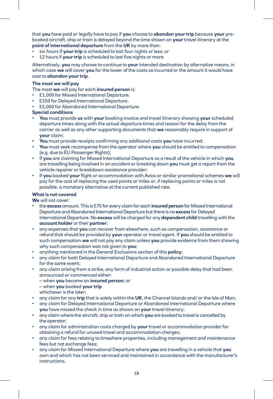that **you** have paid or legally have to pay if **you** choose to **abandon your trip** because **your** prebooked aircraft, ship or train is delayed beyond the time shown on **your** travel itinerary at the **point of international departure** from the **UK** by more than:

- six hours if your trip is scheduled to last four nights or less; or
- 12 hours if **your trip** is scheduled to last five nights or more

Alternatively, **you** may choose to continue to **your** intended destination by alternative means, in which case **we** will cover **you** for the lower of the costs so incurred or the amount it would have cost to **abandon your trip**.

#### **The most we will pay**

The most **we** will pay for each **insured person** is:

- £1,000 for Missed International Departure.
- £250 for Delayed International Departure.
- £5,000 for Abandoned International Departure.

#### **Special conditions**

- **You** must provide **us** with **your** booking invoice and travel itinerary showing **your** scheduled departure times along with the actual departure times and reason for the delay from the carrier as well as any other supporting documents that **we** reasonably require in support of **your** claim;
- **You** must provide receipts confirming any additional costs **you** have incurred;
- **You** must seek recompense from the operator where **you** should be entitled to compensation (e.g. due to EU Passenger Rights);
- If **you** are claiming for Missed International Departure as a result of the vehicle in which **you** are travelling being involved in an accident or breaking down **you** must get a report from the vehicle repairer or breakdown assistance provider;
- If **you** booked **your** flight or accommodation with Avios or similar promotional schemes **we** will pay for the cost of replacing the used points or miles or, if replacing points or miles is not possible, a monetary alternative at the current published rate.

#### **What is not covered**

**We** will not cover:

- the **excess** amount. This is £75 for every claim for each **insured person** for Missed International Departure and Abandoned International Departure but there is no **excess** for Delayed International Departure. No **excess** will be charged for any **dependent child** travelling with the **account holder** or their **partner**;
- any expenses that **you** can recover from elsewhere, such as compensation, assistance or refund that should be provided by **your** operator or travel agent. If **you** should be entitled to such compensation **we** will not pay any claim unless **you** provide evidence from them showing why such compensation was not given to **you**;
- anything mentioned in the General Exclusions section of this **policy**;
- any claim for both Delayed International Departure and Abandoned International Departure for the same event;
- any claim arising from a strike, any form of industrial action or possible delay that had been announced or commenced either:
	- when **you** became an **insured person**; or
	- when **you** booked **your trip**
	- whichever is the later;
- any claim for any **trip** that is solely within the **UK**, the Channel Islands and/ or the Isle of Man;
- any claim for Delayed International Departure or Abandoned International Departure where **you** have missed the check in time as shown on **your** travel itinerary;
- any claim where the aircraft, ship or train on which **you** are booked to travel is cancelled by the operator;
- any claim for administration costs charged by **your** travel or accommodation provider for obtaining a refund for unused travel and accommodation charges;
- any claim for fees relating to timeshare properties, including management and maintenance fees but not exchange fees;
- any claim for Missed International Departure where **you** are travelling in a vehicle that **you** own and which has not been serviced and maintained in accordance with the manufacturer's **instructions**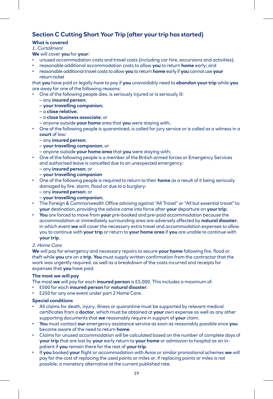#### **Section C Cutting Short Your Trip (after your trip has started)**

#### **What is covered**

#### *1. Curtailment*

**We** will cover **you** for **your**:

- unused accommodation costs and travel costs (including car hire, excursions and activities);
- reasonable additional accommodation costs to allow **you** to return **home** early; and
- reasonable additional travel costs to allow **you** to return **home** early if **you** cannot use **your** return ticket

that **you** have paid or legally have to pay if **you** unavoidably need to **abandon your trip** while **you** are away for one of the following reasons:

- One of the following people dies, is seriously injured or is seriously ill:
	- any **insured person**;
	- **your travelling companion**;
	- a **close relative**;
	- a **close business associate**; or
	- anyone outside **your home** area that **you** were staying with;
- One of the following people is quarantined, is called for jury service or is called as a witness in a **court** of law:
	- any **insured person**;
	- **your travelling companion**; or
	- anyone outside **your home area** that **you** were staying with;
- One of the following people is a member of the British armed forces or Emergency Services and authorised leave is cancelled due to an unexpected emergency:
	- any **insured person**; or
	- **your travelling companion**
- One of the following people is required to return to their **home** as a result of it being seriously damaged by fire, storm, flood or due to a burglary:
	- any **insured person**; or
	- **your travelling companion**;
- The Foreign & Commonwealth Office advising against "All Travel" or "All but essential travel" to **your** destination, providing the advice came into force after **your** departure on **your trip**;
- **You** are forced to move from **your** pre-booked and pre-paid accommodation because the accommodation or immediately surrounding area are adversely affected by **natural disaster**, in which event **we** will cover the necessary extra travel and accommodation expenses to allow you to continue with **your trip** or return to **your home area** if **you** are unable to continue with **your trip**.

#### *2. Home Care*

**We** will pay for emergency and necessary repairs to secure **your home** following fire, flood or theft while **you** are on a **trip**. **You** must supply written confirmation from the contractor that the work was urgently required, as well as a breakdown of the costs incurred and receipts for expenses that **you** have paid.

#### **The most we will pay**

The most **we** will pay for each **insured person** is £5,000. This includes a maximum of:

- £500 for each **insured person** for **natural disaster**.
- £250 for any one event under part 2 Home Care.

#### **Special conditions**

- All claims for death, injury, illness or quarantine must be supported by relevant medical certificates from a **doctor**, which must be obtained at **your** own expense as well as any other supporting documents that **we** reasonably require in support of **your** claim.
- **You** must contact **our** emergency assistance service as soon as reasonably possible once **you** become aware of the need to return **home**.
- Claims for unused accommodation will be calculated based on the number of complete days of **your trip** that are lost by **your** early return to **your home** or admission to hospital as an inpatient if **you** remain there for the rest of **your trip**.
- If **you** booked **your** flight or accommodation with Avios or similar promotional schemes **we** will pay for the cost of replacing the used points or miles or, if replacing points or miles is not possible, a monetary alternative at the current published rate.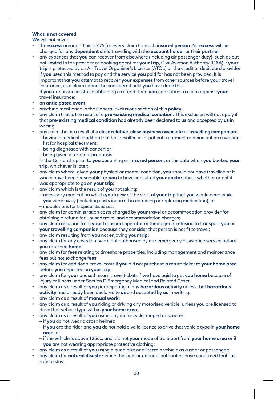#### **What is not covered**

**We** will not cover:

- the **excess** amount. This is £75 for every claim for each **insured person**. No **excess** will be charged for any **dependent child** travelling with the **account holder** or their **partner**;
- any expenses that **you** can recover from elsewhere (including air passenger duty), such as but not limited to the provider or booking agent for **your trip**, Civil Aviation Authority (CAA) if **your trip** is protected by an Air Travel Organiser's Licence (ATOL) or the credit or debit card provider if **you** used this method to pay and the service **you** paid for has not been provided. It is important that **you** attempt to recover **your** expenses from other sources before **your** travel insurance, as a claim cannot be considered until **you** have done this. If **you** are unsuccessful in obtaining a refund, then **you** can submit a claim against **your** travel insurance;
- an **anticipated event**;
- anything mentioned in the General Exclusions section of this **policy**;
- any claim that is the result of a **pre-existing medical condition**. This exclusion will not apply if that **pre-existing medical condition** had already been declared to **us** and accepted by **us** in writing;
- any claim that is a result of a **close relative**, **close business associate** or **travelling companion**: – having a medical condition that has resulted in in-patient treatment or being put on a waiting list for hospital treatment;
	- being diagnosed with cancer; or
	- being given a terminal prognosis;

in the 12 months prior to **you** becoming an **insured person**, or the date when **you** booked **your trip**, whichever is later;

- any claim where, given **your** physical or mental condition, **you** should not have travelled or it would have been reasonable for **you** to have consulted **your doctor** about whether or not it was appropriate to go on **your trip**;
- any claim which is the result of **you** not taking:
	- necessary medication which **you** knew at the start of **your trip** that **you** would need while **you** were away (including costs incurred in obtaining or replacing medication); or – inoculations for tropical diseases.
- any claim for administration costs charged by **your** travel or accommodation provider for obtaining a refund for unused travel and accommodation charges;
- any claim resulting from **your** transport operator or their agents refusing to transport **you** or **your travelling companion** because they consider that person is not fit to travel;
- any claim resulting from **you** not enjoying **your trip**;
- any claim for any costs that were not authorised by **our** emergency assistance service before **you** returned **home**;
- any claim for fees relating to timeshare properties, including management and maintenance fees but not exchange fees;
- any claim for additional travel costs if **you** did not purchase a return ticket to **your home area** before **you** departed on **your trip**;
- any claim for **your** unused return travel tickets if **we** have paid to get **you home** because of injury or illness under Section D Emergency Medical and Related Costs;
- any claim as a result of **you** participating in any **hazardous activity** unless that **hazardous activity** had already been declared to **us** and accepted by **us** in writing;
- any claim as a result of **manual work**;
- any claim as a result of **you** riding or driving any motorised vehicle, unless **you** are licensed to drive that vehicle type within **your home area**;
- any claim as a result of **you** using any motorcycle, moped or scooter:
	- if **you** do not wear a crash helmet;
	- if **you** are the rider and **you** do not hold a valid licence to drive that vehicle type in **your home area**; or
	- if the vehicle is above 125cc, and it is not **your** mode of transport from **your home area** or if **you** are not wearing appropriate protective clothing;
- any claim as a result of **you** using a quad bike or all terrain vehicle as a rider or passenger;
- any claim for **natural disaster** when the local or national authorities have confirmed that it is safe to stay.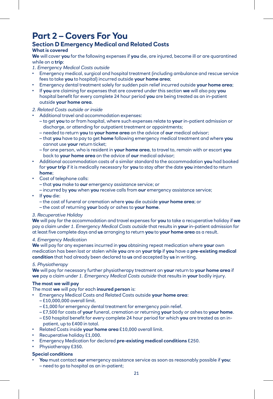### **Part 2 – Covers For You**

#### **Section D Emergency Medical and Related Costs**

#### **What is covered**

**We** will cover **you** for the following expenses if **you** die, are injured, become ill or are quarantined while on a **trip**:

- *1. Emergency Medical Costs outside*
- Emergency medical, surgical and hospital treatment (including ambulance and rescue service fees to take **you** to hospital) incurred outside **your home area**;
- Emergency dental treatment solely for sudden pain relief incurred outside **your home area**;
- If **you** are claiming for expenses that are covered under this section **we** will also pay **you** hospital benefit for every complete 24 hour period **you** are being treated as an in-patient outside **your home area**.

#### *2. Related Costs outside or inside*

- Additional travel and accommodation expenses:
	- to get **you** to or from hospital, where such expenses relate to **your** in-patient admission or discharge, or attending for outpatient treatment or appointments;
	- needed to return **you** to **your home area** on the advice of **our** medical advisor;
	- that **you** have to pay to get **home** following emergency medical treatment and where **you** cannot use **your** return ticket;
	- for one person, who is resident in **your home area**, to travel to, remain with or escort **you** back to **your home area** on the advice of **our** medical advisor;
- Additional accommodation costs of a similar standard to the accommodation **you** had booked for **your trip** if it is medically necessary for **you** to stay after the date **you** intended to return **home**;
- Cost of telephone calls:
	- that **you** make to **our** emergency assistance service; or
	- incurred by **you** when **you** receive calls from **our** emergency assistance service;
- If **you** die:
	- the cost of funeral or cremation where **you** die outside **your home area**; or
	- the cost of returning **your** body or ashes to **your home**.

#### *3. Recuperative Holiday*

**We** will pay for the accommodation and travel expenses for **you** to take a recuperative holiday if **we** pay a claim under *1. Emergency Medical Costs outside* that results in **your** in-patient admission for at least five complete days and **us** arranging to return **you** to **your home area** as a result.

#### *4. Emergency Medication*

**We** will pay for any expenses incurred in **you** obtaining repeat medication where **your** own medication has been lost or stolen while **you** are on **your trip** if **you** have a **pre-existing medical condition** that had already been declared to **us** and accepted by **us** in writing.

#### *5. Physiotherapy*

**We** will pay for necessary further physiotherapy treatment on **your** return to **your home area** if **we** pay a claim under *1. Emergency Medical Costs outside* that results in **your** bodily injury.

#### **The most we will pay**

The most **we** will pay for each **insured person** is:

- Emergency Medical Costs and Related Costs outside **your home area**:
	- £10,000,000 overall limit.
	- £1,000 for emergency dental treatment for emergency pain relief.
	- £7,500 for costs of **your** funeral, cremation or returning **your** body or ashes to **your home**.
	- £50 hospital benefit for every complete 24 hour period for which **you** are treated as an inpatient, up to £400 in total.
- Related Costs inside **your home area** £10,000 overall limit.
- Recuperative holiday £1,000.
- Emergency Medication for declared **pre-existing medical conditions** £250.
- Physiotherapy £350.

#### **Special conditions**

• **You** must contact **our** emergency assistance service as soon as reasonably possible if **you**: – need to go to hospital as an in-patient;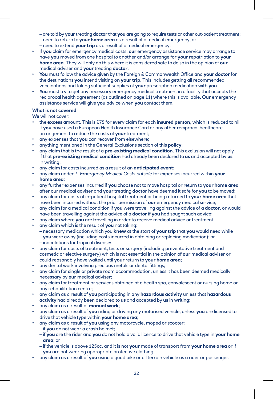– are told by **your** treating **doctor** that **you** are going to require tests or other out-patient treatment;

- need to return to **your home area** as a result of a medical emergency; or
- need to extend **your trip** as a result of a medical emergency.
- If **you** claim for emergency medical costs, **our** emergency assistance service may arrange to have **you** moved from one hospital to another and/or arrange for **your** repatriation to **your home area**. They will only do this where it is considered safe to do so in the opinion of **our** medical adviser and **your** treating **doctor**.
- **You** must follow the advice given by the Foreign & Commonwealth Office and **your doctor** for the destinations **you** intend visiting on **your trip**. This includes getting all recommended vaccinations and taking sufficient supplies of **your** prescription medication with **you**.
- **You** must try to get any necessary emergency medical treatment in a facility that accepts the reciprocal health agreement (as outlined on page 11) where this is available. **Our** emergency assistance service will give **you** advice when **you** contact them.

#### **What is not covered**

**We** will not cover:

- the **excess** amount. This is £75 for every claim for each **insured person**, which is reduced to nil if **you** have used a European Health Insurance Card or any other reciprocal healthcare arrangement to reduce the costs of **your** treatment;
- any expenses that **you** can recover from elsewhere;
- anything mentioned in the General Exclusions section of this **policy**;
- any claim that is the result of a **pre-existing medical condition**. This exclusion will not apply if that **pre-existing medical condition** had already been declared to **us** and accepted by **us** in writing;
- any claim for costs incurred as a result of an **anticipated event**;
- any claim under *1. Emergency Medical Costs outside* for expenses incurred within **your home area**;
- any further expenses incurred if **you** choose not to move hospital or return to **your home area** after our medical adviser and **your** treating **doctor** have deemed it safe for **you** to be moved;
- any claim for costs of in-patient hospital treatment or being returned to **your home area** that have been incurred without the prior permission of **our** emergency medical service;
- any claim for a medical condition if **you** were travelling against the advice of a **doctor**, or would have been travelling against the advice of a **doctor** if **you** had sought such advice;
- any claim where **you** are travelling in order to receive medical advice or treatment;
- any claim which is the result of **you** not taking:
	- necessary medication which you **knew** at the start of **your trip** that **you** would need while **you** were away (including costs incurred in obtaining or replacing medication); or – inoculations for tropical diseases;
- any claim for costs of treatment, tests or surgery (including preventative treatment and cosmetic or elective surgery) which is not essential in the opinion of **our** medical adviser or
- could reasonably have waited until **your** return to **your home area**;
- any dental work involving precious metals or dental fittings;
- any claim for single or private room accommodation, unless it has been deemed medically necessary by **our** medical adviser;
- any claim for treatment or services obtained at a health spa, convalescent or nursing home or any rehabilitation centre;
- any claim as a result of **you** participating in any **hazardous activity** unless that **hazardous activity** had already been declared to **us** and accepted by **us** in writing;
- any claim as a result of **manual work**;
- any claim as a result of **you** riding or driving any motorised vehicle, unless **you** are licensed to drive that vehicle type within **your home area**;
- any claim as a result of **you** using any motorcycle, moped or scooter:
	- if **you** do not wear a crash helmet;
	- if **you** are the rider and **you** do not hold a valid licence to drive that vehicle type in **your home area**; or
	- if the vehicle is above 125cc, and it is not **your** mode of transport from **your home area** or if **you** are not wearing appropriate protective clothing;
- any claim as a result of **you** using a quad bike or all terrain vehicle as a rider or passenger.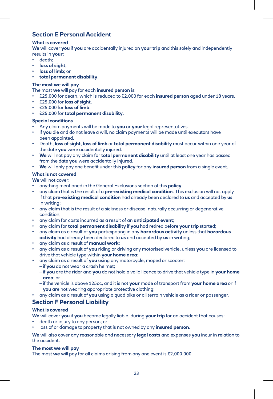#### **Section E Personal Accident**

#### **What is covered**

**We** will cover **you** if **you** are accidentally injured on **your trip** and this solely and independently results in **your**:

- death;
- **loss of sight**;
- **loss of limb**; or
- **total permanent disability**.

#### **The most we will pay**

The most **we** will pay for each **insured person** is:

- £25,000 for death, which is reduced to £2,000 for each **insured person** aged under 18 years.
- £25,000 for **loss of sight**.
- £25,000 for **loss of limb**.
- £25,000 for **total permanent disability**.

#### **Special conditions**

- Any claim payments will be made to **you** or **your** legal representatives.
- If **you** die and do not leave a will, no claim payments will be made until executors have been appointed.
- Death, **loss of sight**, **loss of limb** or **total permanent disability** must occur within one year of the date **you** were accidentally injured.
- **We** will not pay any claim for **total permanent disability** until at least one year has passed from the date **you** were accidentally injured.
- **We** will only pay one benefit under this **policy** for any **insured person** from a single event.

#### **What is not covered**

**We** will not cover:

- anything mentioned in the General Exclusions section of this **policy**;
- any claim that is the result of a **pre-existing medical condition**. This exclusion will not apply if that **pre-existing medical condition** had already been declared to **us** and accepted by **us** in writing;
- any claim that is the result of a sickness or disease, naturally occurring or degenerative condition;
- any claim for costs incurred as a result of an **anticipated event**;
- any claim for **total permanent disability** if **you** had retired before **your trip** started;
- any claim as a result of **you** participating in any **hazardous activity** unless that **hazardous activity** had already been declared to **us** and accepted by **us** in writing;
- any claim as a result of **manual work**;
- any claim as a result of **you** riding or driving any motorised vehicle, unless **you** are licensed to drive that vehicle type within **your home area**;
- any claim as a result of **you** using any motorcycle, moped or scooter:
	- if **you** do not wear a crash helmet;
	- if **you** are the rider and **you** do not hold a valid licence to drive that vehicle type in **your home area**; or
	- if the vehicle is above 125cc, and it is not **your** mode of transport from **your home area** or if **you** are not wearing appropriate protective clothing;
- any claim as a result of **you** using a quad bike or all terrain vehicle as a rider or passenger.

#### **Section F Personal Liability**

#### **What is covered**

**We** will cover **you** if **you** become legally liable, during **your trip** for an accident that causes:

- death or injury to any person; or
- loss of or damage to property that is not owned by any **insured person**.

**We** will also cover any reasonable and necessary **legal costs** and expenses **you** incur in relation to the accident.

#### **The most we will pay**

The most **we** will pay for all claims arising from any one event is £2,000,000.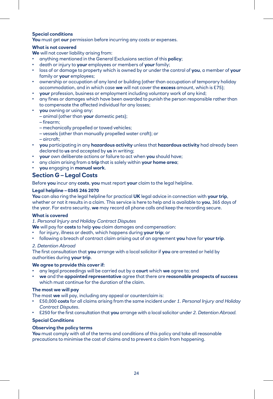#### **Special conditions**

**You** must get **our** permission before incurring any costs or expenses.

#### **What is not covered**

**We** will not cover liability arising from:

- anything mentioned in the General Exclusions section of this **policy**;
- death or injury to **your** employees or members of **your** family;
- loss of or damage to property which is owned by or under the control of **you**, a member of **your** family or **your** employees;
- ownership or occupation of any land or building (other than occupation of temporary holiday accommodation, and in which case **we** will not cover the **excess** amount, which is £75);
- **your** profession, business or employment including voluntary work of any kind;
- any fines or damages which have been awarded to punish the person responsible rather than to compensate the affected individual for any losses;
- **you** owning or using any:
	- animal (other than **your** domestic pets);
	- firearm;
	- mechanically propelled or towed vehicles;
	- vessels (other than manually propelled water craft); or
	- aircraft;
- **you** participating in any **hazardous activity** unless that **hazardous activity** had already been declared to **us** and accepted by **us** in writing;
- **your** own deliberate actions or failure to act when **you** should have;
- any claim arising from a **trip** that is solely within **your home area**;
- **you** engaging in **manual work**.

#### **Section G – Legal Costs**

Before **you** incur any **costs**, **you** must report **your** claim to the legal helpline.

#### **Legal helpline – 0345 246 2070**

**You** can also ring the legal helpline for practical **UK** legal advice in connection with **your trip**, whether or not it results in a claim. This service is here to help and is available to **you**, 365 days of the year. For extra security, **we** may record all phone calls and keep the recording secure.

#### **What is covered**

*1. Personal Injury and Holiday Contract Disputes*

- **We** will pay for **costs** to help **you** claim damages and compensation:
- for injury, illness or death, which happens during **your trip**; or
- following a breach of contract claim arising out of an agreement **you** have for **your trip**.

#### *2. Detention Abroad*

The first consultation that **you** arrange with a local solicitor if **you** are arrested or held by authorities during **your trip**.

#### **We agree to provide this cover if:**

- any legal proceedings will be carried out by a **court** which **we** agree to; and
- **we** and the **appointed representative** agree that there are **reasonable prospects of success**  which must continue for the duration of the claim.

#### **The most we will pay**

The most **we** will pay, including any appeal or counterclaim is:

- £50,000 **costs** for all claims arising from the same incident under *1. Personal Injury and Holiday Contract Disputes*.
- £250 for the first consultation that **you** arrange with a local solicitor under *2. Detention Abroad.*

#### **Special Conditions**

#### **Observing the policy terms**

**You** must comply with all of the terms and conditions of this policy and take all reasonable precautions to minimise the cost of claims and to prevent a claim from happening.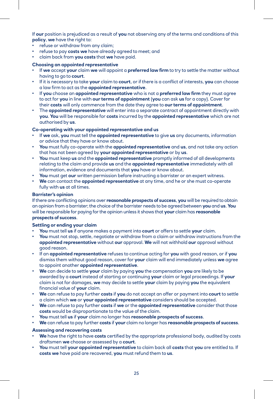If **our** position is prejudiced as a result of **you** not observing any of the terms and conditions of this **policy**, **we** have the right to:

- refuse or withdraw from any claim;
- refuse to pay **costs we** have already agreed to meet; and
- claim back from **you costs** that **we** have paid.

#### **Choosing an appointed representative**

- If **we** accept **your** claim **we** will appoint a **preferred law firm** to try to settle the matter without having to go to **court**.
- If it is necessary to take **your** claim to **court**, or if there is a conflict of interests, **you** can choose a law firm to act as the **appointed representative**.
- If **you** choose an **appointed representative** who is not a **preferred law firm** they must agree to act for **you** in line with **our terms of appointment** (**you** can ask **us** for a copy). Cover for their **costs** will only commence from the date they agree to **our terms of appointment**.
- The **appointed representative** will enter into a separate contract of appointment directly with **you**. **You** will be responsible for **costs** incurred by the **appointed representative** which are not authorised by **us**.

#### **Co-operating with your appointed representative and us**

- If **we** ask, **you** must tell the **appointed representative** to give **us** any documents, information or advice that they have or know about.
- **You** must fully co-operate with the **appointed representative** and **us**, and not take any action that has not been agreed by **your appointed representative** or by **us**.
- **You** must keep **us** and the **appointed representative** promptly informed of all developments relating to the claim and provide **us** and the **appointed representative** immediately with all information, evidence and documents that **you** have or know about.
- **You** must get **our** written permission before instructing a barrister or an expert witness.
- **We** can contact the **appointed representative** at any time, and he or she must co-operate fully with **us** at all times.

#### **Barrister's opinion**

If there are conflicting opinions over **reasonable prospects of success**, **you** will be required to obtain an opinion from a barrister; the choice of the barrister needs to be agreed between **you** and **us**. **You** will be responsible for paying for the opinion unless it shows that **your** claim has **reasonable prospects of success**.

#### **Settling or ending your claim**

- **You** must tell **us** if anyone makes a payment into **court** or offers to settle **your** claim.
- **You** must not stop, settle, negotiate or withdraw from a claim or withdraw instructions from the **appointed representative** without **our** approval. **We** will not withhold **our** approval without good reason.
- If an **appointed representative** refuses to continue acting for **you** with good reason, or if **you** dismiss them without good reason, cover for **your** claim will end immediately unless **we** agree to appoint another **appointed representative**.
- **We** can decide to settle **your** claim by paying **you** the compensation **you** are likely to be awarded by a **court** instead of starting or continuing **your** claim or legal proceedings. If **your** claim is not for damages, **we** may decide to settle **your** claim by paying **you** the equivalent financial value of **your** claim.
- **We** can refuse to pay further **costs** if **you** do not accept an offer or payment into **court** to settle a claim which **we** or **your appointed representative** considers should be accepted.
- **We** can refuse to pay further **costs** if **we** or the **appointed representative** consider that those **costs** would be disproportionate to the value of the claim.
- **You** must tell **us** if **your** claim no longer has **reasonable prospects of success**.
- **We** can refuse to pay further **costs** if **your** claim no longer has **reasonable prospects of success**.

#### **Assessing and recovering costs**

- **We** have the right to have **costs** certified by the appropriate professional body, audited by costs draftsmen **we** choose or assessed by a **court**.
- **You** must tell **your appointed representative** to claim back all **costs** that **you** are entitled to. If **costs we** have paid are recovered, **you** must refund them to **us**.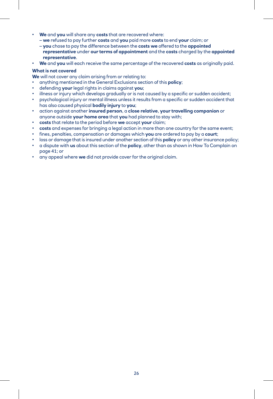- **We** and **you** will share any **costs** that are recovered where:
	- **we** refused to pay further **costs** and **you** paid more **costs** to end **your** claim; or
	- **you** chose to pay the difference between the **costs we** offered to the **appointed representative** under **our terms of appointment** and the **costs** charged by the **appointed representative**.
- **We** and **you** will each receive the same percentage of the recovered **costs** as originally paid.

#### **What is not covered**

- **We** will not cover any claim arising from or relating to:
- anything mentioned in the General Exclusions section of this **policy**;
- defending **your** legal rights in claims against **you**;
- illness or injury which develops gradually or is not caused by a specific or sudden accident;
- psychological injury or mental illness unless it results from a specific or sudden accident that has also caused physical **bodily injury** to **you**;
- action against another **insured person**, a **close relative**, **your travelling companion** or anyone outside **your home area** that **you** had planned to stay with;
- **costs** that relate to the period before **we** accept **your** claim;
- **costs** and expenses for bringing a legal action in more than one country for the same event;
- fines, penalties, compensation or damages which **you** are ordered to pay by a **court**;
- loss or damage that is insured under another section of this **policy** or any other insurance policy;
- a dispute with **us** about this section of the **policy**, other than as shown in How To Complain on page 41; or
- any appeal where **we** did not provide cover for the original claim.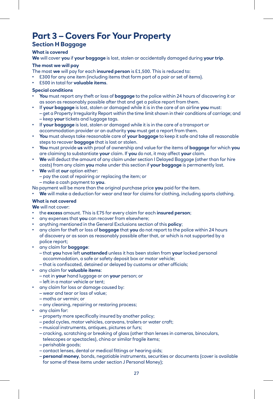## **Part 3 – Covers For Your Property**

#### **Section H Baggage**

#### **What is covered**

**We** will cover **you** if **your baggage** is lost, stolen or accidentally damaged during **your trip**.

#### **The most we will pay**

The most **we** will pay for each **insured person** is £1,500. This is reduced to:

- £300 for any one item (including items that form part of a pair or set of items).
- £500 in total for **valuable items**.

#### **Special conditions**

- **You** must report any theft or loss of **baggage** to the police within 24 hours of discovering it or as soon as reasonably possible after that and get a police report from them.
- If **your baggage** is lost, stolen or damaged while it is in the care of an airline **you** must: – get a Property Irregularity Report within the time limit shown in their conditions of carriage; and – keep **your** tickets and luggage tags.
- If **your baggage** is lost, stolen or damaged while it is in the care of a transport or accommodation provider or an authority **you** must get a report from them.
- **You** must always take reasonable care of **your baggage** to keep it safe and take all reasonable steps to recover **baggage** that is lost or stolen.
- **You** must provide **us** with proof of ownership and value for the items of **baggage** for which **you** are claiming to substantiate **your** claim. If **you** do not, it may affect **your** claim.
- **We** will deduct the amount of any claim under section I Delayed Baggage (other than for hire costs) from any claim **you** make under this section if **your baggage** is permanently lost.
- **We** will at **our** option either:
	- pay the cost of repairing or replacing the item; or
	- make a cash payment to **you**.

No payment will be more than the original purchase price **you** paid for the item.

• **We** will make a deduction for wear and tear for claims for clothing, including sports clothing.

#### **What is not covered**

**We** will not cover:

- the **excess** amount. This is £75 for every claim for each **insured person**;
- any expenses that **you** can recover from elsewhere;
- anything mentioned in the General Exclusions section of this **policy**;
- any claim for theft or loss of **baggage** that **you** do not report to the police within 24 hours of discovery or as soon as reasonably possible after that, or which is not supported by a police report;
- any claim for **baggage**:
	- that **you** have left **unattended** unless it has been stolen from **your** locked personal accommodation, a safe or safety deposit box or motor vehicle;
	- that is confiscated, detained or delayed by customs or other officials;
- any claim for **valuable items**:
	- not in **your** hand luggage or on **your** person; or
	- left in a motor vehicle or tent;
- any claim for loss or damage caused by:
	- wear and tear or loss of value;
	- moths or vermin; or
- any cleaning, repairing or restoring process;
- any claim for:
	- property more specifically insured by another policy;
	- pedal cycles, motor vehicles, caravans, trailers or water craft;
	- musical instruments, antiques, pictures or furs;
	- cracking, scratching or breaking of glass (other than lenses in cameras, binoculars, telescopes or spectacles), china or similar fragile items;
	- perishable goods;
	- contact lenses, dental or medical fittings or hearing aids;
	- **personal money**, bonds, negotiable instruments, securities or documents (cover is available for some of these items under section J Personal Money);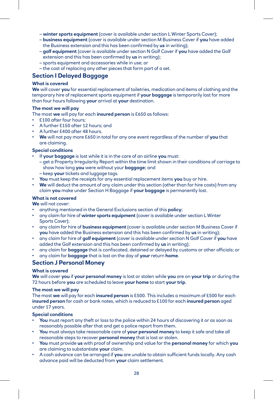- **winter sports equipment** (cover is available under section L Winter Sports Cover);
- **business equipment** (cover is available under section M Business Cover if **you** have added the Business extension and this has been confirmed by **us** in writing);
- **golf equipment** (cover is available under section N Golf Cover if **you** have added the Golf extension and this has been confirmed by **us** in writing);
- sports equipment and accessories while in use; or
- the cost of replacing any other pieces that form part of a set.

#### **Section I Delayed Baggage**

#### **What is covered**

**We** will cover **you** for essential replacement of toiletries, medication and items of clothing and the temporary hire of replacement sports equipment if **your baggage** is temporarily lost for more than four hours following **your** arrival at **your** destination.

#### **The most we will pay**

The most **we** will pay for each **insured person** is £650 as follows:

- £100 after four hours;
- A further £150 after 12 hours; and
- A further £400 after 48 hours.
- **We** will not pay more £650 in total for any one event regardless of the number of **you** that are claiming.

#### **Special conditions**

- If **your baggage** is lost while it is in the care of an airline **you** must:
	- get a Property Irregularity Report within the time limit shown in their conditions of carriage to show how long **you** were without your **baggage**; and
	- keep **your** tickets and luggage tags.
- **You** must keep the receipts for any essential replacement items **you** buy or hire.
- **We** will deduct the amount of any claim under this section (other than for hire costs) from any claim **you** make under Section H Baggage if **your baggage** is permanently lost.

#### **What is not covered**

**We** will not cover:

- anything mentioned in the General Exclusions section of this **policy**;
- any claim for hire of **winter sports equipment** (cover is available under section L Winter Sports Cover);
- any claim for hire of **business equipment** (cover is available under section M Business Cover if **you** have added the Business extension and this has been confirmed by **us** in writing);
- any claim for hire of **golf equipment** (cover is available under section N Golf Cover if **you** have added the Golf extension and this has been confirmed by **us** in writing);
- any claim for **baggage** that is confiscated, detained or delayed by customs or other officials; or
- any claim for **baggage** that is lost on the day of **your** return **home**.

#### **Section J Personal Money**

#### **What is covered**

**We** will cover **you** if **your personal money** is lost or stolen while **you** are on **your trip** or during the 72 hours before **you** are scheduled to leave **your home** to start **your trip**.

#### **The most we will pay**

The most **we** will pay for each **insured person** is £500. This includes a maximum of £500 for each **insured person** for cash or bank notes, which is reduced to £100 for each **insured person** aged under 17 years.

#### **Special conditions**

- **You** must report any theft or loss to the police within 24 hours of discovering it or as soon as reasonably possible after that and get a police report from them.
- **You** must always take reasonable care of **your personal money** to keep it safe and take all reasonable steps to recover **personal money** that is lost or stolen.
- **You** must provide **us** with proof of ownership and value for the **personal money** for which **you** are claiming to substantiate **your** claim.
- A cash advance can be arranged if **you** are unable to obtain sufficient funds locally. Any cash advance paid will be deducted from **your** claim settlement.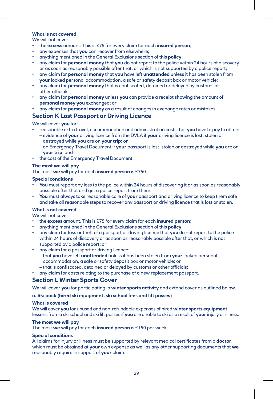#### **What is not covered**

**We** will not cover:

- the **excess** amount. This is £75 for every claim for each **insured person**;
- any expenses that **you** can recover from elsewhere;
- anything mentioned in the General Exclusions section of this **policy**;
- any claim for **personal money** that **you** do not report to the police within 24 hours of discovery or as soon as reasonably possible after that, or which is not supported by a police report;
- any claim for **personal money** that **you** have left **unattended** unless it has been stolen from **your** locked personal accommodation, a safe or safety deposit box or motor vehicle;
- any claim for **personal money** that is confiscated, detained or delayed by customs or other officials;
- any claim for **personal money** unless **you** can provide a receipt showing the amount of **personal money you** exchanged; or
- any claim for **personal money** as a result of changes in exchange rates or mistakes.

#### **Section K Lost Passport or Driving Licence**

**We** will cover **you** for:

- reasonable extra travel, accommodation and administration costs that **you** have to pay to obtain:
- evidence of **your** driving licence from the DVLA if **your** driving licence is lost, stolen or destroyed while **you** are on **your trip**; or
	- an Emergency Travel Document if **your** passport is lost, stolen or destroyed while **you** are on **your trip**; and
- the cost of the Emergency Travel Document.

#### **The most we will pay**

The most **we** will pay for each **insured person** is £750.

#### **Special conditions**

- **You** must report any loss to the police within 24 hours of discovering it or as soon as reasonably possible after that and get a police report from them.
- **You** must always take reasonable care of **your** passport and driving licence to keep them safe and take all reasonable steps to recover any passport or driving licence that is lost or stolen.

#### **What is not covered**

**We** will not cover:

- the **excess** amount. This is £75 for every claim for each **insured person**;
- anything mentioned in the General Exclusions section of this **policy**;
- any claim for loss or theft of a passport or driving licence that **you** do not report to the police within 24 hours of discovery or as soon as reasonably possible after that, or which is not supported by a police report; or
- any claim for a passport or driving licence:
	- that **you** have left **unattended** unless it has been stolen from **your** locked personal accommodation, a safe or safety deposit box or motor vehicle; or
- that is confiscated, detained or delayed by customs or other officials;
- any claim for costs relating to the purchase of a new replacement passport.

#### **Section L Winter Sports Cover**

**We** will cover **you** for participating in **winter sports activity** and extend cover as outlined below.

#### **a. Ski pack (hired ski equipment, ski school fees and lift passes)**

#### **What is covered**

**We** will cover **you** for unused and non-refundable expenses of hired **winter sports equipment**, lessons from a ski school and ski lift passes if **you** are unable to ski as a result of **your** injury or illness.

#### **The most we will pay**

The most **we** will pay for each **insured person** is £150 per week.

#### **Special conditions**

All claims for injury or illness must be supported by relevant medical certificates from a **doctor**, which must be obtained at **your** own expense as well as any other supporting documents that **we** reasonably require in support of **your** claim.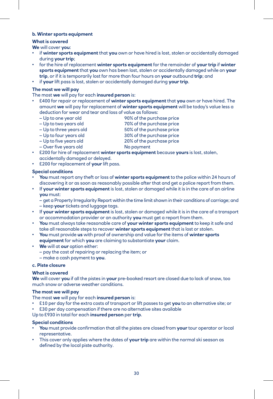#### **b. Winter sports equipment**

#### **What is covered**

**We** will cover **you**:

- if **winter sports equipment** that **you** own or have hired is lost, stolen or accidentally damaged during **your trip**;
- for the hire of replacement **winter sports equipment** for the remainder of **your trip** if **winter sports equipment** that **you** own has been lost, stolen or accidentally damaged while on **your trip**, or if it is temporarily lost for more than four hours on **your** outbound **trip**; and
- if **your** lift pass is lost, stolen or accidentally damaged during **your trip**.

#### **The most we will pay**

The most **we** will pay for each **insured person** is:

- £400 for repair or replacement of **winter sports equipment** that **you** own or have hired. The amount **we** will pay for replacement of **winter sports equipment** will be today's value less a deduction for wear and tear and loss of value as follows:
	- Up to one year old 90% of the purchase price
	- Up to two years old 70% of the purchase price
	- Up to three years old 50% of the purchase price
- - Up to four years old 30% of the purchase price
		-
	- Up to five years old 20% of the purchase price
- Over five years old No payment
- £200 for hire of replacement **winter sports equipment** because **yours** is lost, stolen, accidentally damaged or delayed.
- £200 for replacement of **your** lift pass.

#### **Special conditions**

- **You** must report any theft or loss of **winter sports equipment** to the police within 24 hours of discovering it or as soon as reasonably possible after that and get a police report from them.
- If **your winter sports equipment** is lost, stolen or damaged while it is in the care of an airline **you** must:

– get a Property Irregularity Report within the time limit shown in their conditions of carriage; and – keep **your** tickets and luggage tags.

- If **your winter sports equipment** is lost, stolen or damaged while it is in the care of a transport or accommodation provider or an authority **you** must get a report from them.
- **You** must always take reasonable care of **your winter sports equipment** to keep it safe and take all reasonable steps to recover **winter sports equipment** that is lost or stolen.
- **You** must provide **us** with proof of ownership and value for the items of **winter sports equipment** for which **you** are claiming to substantiate **your** claim.
- **We** will at **our** option either:
	- pay the cost of repairing or replacing the item; or
	- make a cash payment to **you**.

#### **c. Piste closure**

#### **What is covered**

**We** will cover **you** if all the pistes in **your** pre-booked resort are closed due to lack of snow, too much snow or adverse weather conditions.

#### **The most we will pay**

The most **we** will pay for each **insured person** is:

- £10 per day for the extra costs of transport or lift passes to get **you** to an alternative site; or
- £30 per day compensation if there are no alternative sites available

#### Up to £930 in total for each **insured person** per **trip**.

#### **Special conditions**

- **You** must provide confirmation that all the pistes are closed from **your** tour operator or local representative.
- This cover only applies where the dates of **your trip** are within the normal ski season as defined by the local piste authority.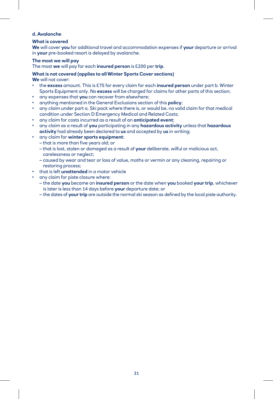#### **d. Avalanche**

#### **What is covered**

**We** will cover **you** for additional travel and accommodation expenses if **your** departure or arrival in **your** pre-booked resort is delayed by avalanche.

#### **The most we will pay**

The most **we** will pay for each **insured person** is £200 per **trip**.

#### **What is not covered (applies to all Winter Sports Cover sections)**

**We** will not cover:

- the **excess** amount. This is £75 for every claim for each **insured person** under part b. Winter Sports Equipment only. No **excess** will be charged for claims for other parts of this section;
- any expenses that **you** can recover from elsewhere;
- anything mentioned in the General Exclusions section of this **policy**;
- any claim under part a. Ski pack where there is, or would be, no valid claim for that medical condition under Section D Emergency Medical and Related Costs;
- any claim for costs incurred as a result of an **anticipated event**;
- any claim as a result of **you** participating in any **hazardous activity** unless that **hazardous activity** had already been declared to **us** and accepted by **us** in writing;
- any claim for **winter sports equipment**:
	- that is more than five years old; or
	- that is lost, stolen or damaged as a result of **your** deliberate, wilful or malicious act, carelessness or neglect;
	- caused by wear and tear or loss of value, moths or vermin or any cleaning, repairing or restoring process;
- that is left **unattended** in a motor vehicle
- any claim for piste closure where:
	- the date **you** became an **insured person** or the date when **you** booked **your trip**, whichever is later is less than 14 days before **your** departure date; or
	- the dates of **your trip** are outside the normal ski season as defined by the local piste authority.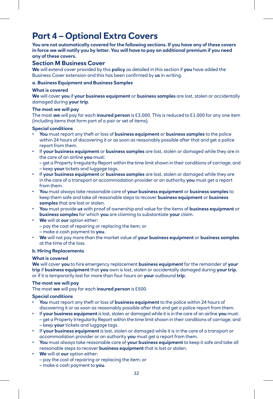# **Part 4 – Optional Extra Covers**

**You are not automatically covered for the following sections. If you have any of these covers in force we will notify you by letter. You will have to pay an additional premium if you need any of these covers.** 

#### **Section M Business Cover**

**We** will extend cover provided by this **policy** as detailed in this section if **you** have added the Business Cover extension and this has been confirmed by **us** in writing.

#### **a. Business Equipment and Business Samples**

#### **What is covered**

**We** will cover **you** if **your business equipment** or **business samples** are lost, stolen or accidentally damaged during **your trip**.

#### **The most we will pay**

The most **we** will pay for each **insured person** is £3,000. This is reduced to £1,000 for any one item (including items that form part of a pair or set of items).

#### **Special conditions**

- **You** must report any theft or loss of **business equipment** or **business samples** to the police within 24 hours of discovering it or as soon as reasonably possible after that and get a police report from them.
- If **your business equipment** or **business samples** are lost, stolen or damaged while they are in the care of an airline **you** must:

– get a Property Irregularity Report within the time limit shown in their conditions of carriage; and – keep **your** tickets and luggage tags.

- If **your business equipment** or **business samples** are lost, stolen or damaged while they are in the care of a transport or accommodation provider or an authority **you** must get a report from them.
- **You** must always take reasonable care of **your business equipment** or **business samples** to keep them safe and take all reasonable steps to recover **business equipment** or **business samples** that are lost or stolen.
- **You** must provide **us** with proof of ownership and value for the items of **business equipment** or **business samples** for which **you** are claiming to substantiate **your** claim.
- **We** will at **our** option either: – pay the cost of repairing or replacing the item; or – make a cash payment to **you**.
- **We** will not pay more than the market value of **your business equipment** or **business samples** at the time of the loss.

#### **b. Hiring Replacements**

#### **What is covered**

**We** will cover **you** to hire emergency replacement **business equipment** for the remainder of **your trip** if **business equipment** that **you** own is lost, stolen or accidentally damaged during **your trip**, or if it is temporarily lost for more than four hours on **your** outbound **trip**.

#### **The most we will pay**

The most **we** will pay for each **insured person** is £500.

#### **Special conditions**

- **You** must report any theft or loss of **business equipment** to the police within 24 hours of discovering it or as soon as reasonably possible after that and get a police report from them.
- If **your business equipment** is lost, stolen or damaged while it is in the care of an airline **you** must: – get a Property Irregularity Report within the time limit shown in their conditions of carriage; and – keep **your** tickets and luggage tags.
- If **your business equipment** is lost, stolen or damaged while it is in the care of a transport or accommodation provider or an authority **you** must get a report from them.
- **You** must always take reasonable care of **your business equipment** to keep it safe and take all reasonable steps to recover **business equipment** that is lost or stolen.
- **We** will at **our** option either: – pay the cost of repairing or replacing the item; or – make a cash payment to **you**.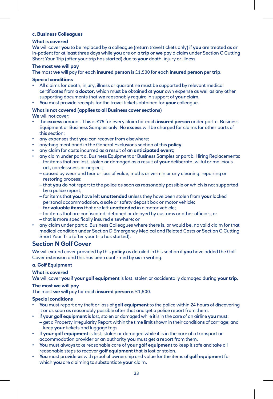#### **c. Business Colleagues**

#### **What is covered**

**We** will cover **you** to be replaced by a colleague (return travel tickets only) if **you** are treated as an in-patient for at least three days while **you** are on a **trip** or **we** pay a claim under Section C Cutting Short Your Trip (after your trip has started) due to **your** death, injury or illness.

#### **The most we will pay**

The most **we** will pay for each **insured person** is £1,500 for each **insured person** per **trip**.

#### **Special conditions**

- All claims for death, injury, illness or quarantine must be supported by relevant medical certificates from a **doctor**, which must be obtained at **your** own expense as well as any other supporting documents that **we** reasonably require in support of **your** claim.
- **You** must provide receipts for the travel tickets obtained for **your** colleague.

#### **What is not covered (applies to all Business cover sections)**

**We** will not cover:

- the **excess** amount. This is £75 for every claim for each **insured person** under part a. Business Equipment or Business Samples only. No **excess** will be charged for claims for other parts of this section;
- any expenses that **you** can recover from elsewhere;
- anything mentioned in the General Exclusions section of this **policy**;
- any claim for costs incurred as a result of an **anticipated event**;
- any claim under part a. Business Equipment or Business Samples or part b. Hiring Replacements:
	- for items that are lost, stolen or damaged as a result of **your** deliberate, wilful or malicious act, carelessness or neglect;
	- caused by wear and tear or loss of value, moths or vermin or any cleaning, repairing or restoring process;
	- that **you** do not report to the police as soon as reasonably possible or which is not supported by a police report;
	- for items that **you** have left **unattended** unless they have been stolen from **your** locked personal accommodation, a safe or safety deposit box or motor vehicle;
	- **for valuable items** that are left **unattended** in a motor vehicle;
	- for items that are confiscated, detained or delayed by customs or other officials; or
	- that is more specifically insured elsewhere; or
- any claim under part c. Business Colleagues where there is, or would be, no valid claim for that medical condition under Section D Emergency Medical and Related Costs or Section C Cutting Short Your Trip (after your trip has started).

#### **Section N Golf Cover**

**We** will extend cover provided by this **policy** as detailed in this section if **you** have added the Golf Cover extension and this has been confirmed by **us** in writing.

#### **a. Golf Equipment**

#### **What is covered**

**We** will cover **you** if **your golf equipment** is lost, stolen or accidentally damaged during **your trip**.

#### **The most we will pay**

The most **we** will pay for each **insured person** is £1,500.

#### **Special conditions**

- **You** must report any theft or loss of **golf equipment** to the police within 24 hours of discovering it or as soon as reasonably possible after that and get a police report from them.
- If **your golf equipment** is lost, stolen or damaged while it is in the care of an airline **you** must:
	- get a Property Irregularity Report within the time limit shown in their conditions of carriage; and – keep **your** tickets and luggage tags.
- If **your golf equipment** is lost, stolen or damaged while it is in the care of a transport or accommodation provider or an authority **you** must get a report from them.
- **You** must always take reasonable care of **your golf equipment** to keep it safe and take all reasonable steps to recover **golf equipment** that is lost or stolen.
- **You** must provide **us** with proof of ownership and value for the items of **golf equipment** for which **you** are claiming to substantiate **your** claim.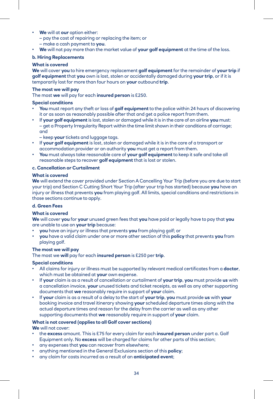- **We** will at **our** option either:
	- pay the cost of repairing or replacing the item; or
	- make a cash payment to **you**.
- **We** will not pay more than the market value of **your golf equipment** at the time of the loss.

#### **b. Hiring Replacements**

#### **What is covered**

**We** will cover **you** to hire emergency replacement **golf equipment** for the remainder of **your trip** if **golf equipment** that **you** own is lost, stolen or accidentally damaged during **your trip**, or if it is temporarily lost for more than four hours on **your** outbound **trip**.

#### **The most we will pay**

The most **we** will pay for each **insured person** is £250.

#### **Special conditions**

- **You** must report any theft or loss of **golf equipment** to the police within 24 hours of discovering it or as soon as reasonably possible after that and get a police report from them.
- If **your golf equipment** is lost, stolen or damaged while it is in the care of an airline **you** must: – get a Property Irregularity Report within the time limit shown in their conditions of carriage; and

– keep **your** tickets and luggage tags.

- If **your golf equipment** is lost, stolen or damaged while it is in the care of a transport or accommodation provider or an authority **you** must get a report from them.
- **You** must always take reasonable care of **your golf equipment** to keep it safe and take all reasonable steps to recover **golf equipment** that is lost or stolen.

#### **c. Cancellation or Curtailment**

#### **What is covered**

**We** will extend the cover provided under Section A Cancelling Your Trip (before you are due to start your trip) and Section C Cutting Short Your Trip (after your trip has started) because **you** have an injury or illness that prevents **you** from playing golf. All limits, special conditions and restrictions in those sections continue to apply.

#### **d. Green Fees**

#### **What is covered**

**We** will cover **you** for **your** unused green fees that **you** have paid or legally have to pay that **you** are unable to use on **your trip** because:

- **you** have an injury or illness that prevents **you** from playing golf; or
- **you** have a valid claim under one or more other section of this **policy** that prevents **you** from playing golf.

#### **The most we will pay**

The most we **will** pay for each **insured person** is £250 per **trip**.

#### **Special conditions**

- All claims for injury or illness must be supported by relevant medical certificates from a **doctor**, which must be obtained at **your** own expense.
- If **your** claim is as a result of cancellation or curtailment of **your trip**, **you** must provide **us** with a cancellation invoice, **your** unused tickets and ticket receipts, as well as any other supporting documents that **we** reasonably require in support of **your** claim.
- If **your** claim is as a result of a delay to the start of **your trip**, **you** must provide **us** with **your** booking invoice and travel itinerary showing **your** scheduled departure times along with the actual departure times and reason for the delay from the carrier as well as any other supporting documents that **we** reasonably require in support of **your** claim.

#### **What is not covered (applies to all Golf cover sections)**

**We** will not cover:

- the **excess** amount. This is £75 for every claim for each **insured person** under part a. Golf Equipment only. No **excess** will be charged for claims for other parts of this section;
- any expenses that **you** can recover from elsewhere;
- anything mentioned in the General Exclusions section of this **policy**;
- any claim for costs incurred as a result of an **anticipated event**;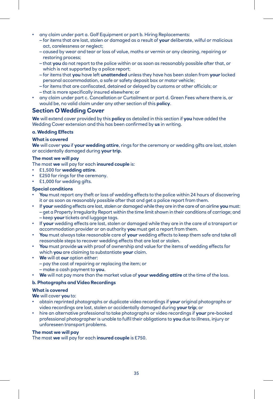- any claim under part a. Golf Equipment or part b. Hiring Replacements:
	- for items that are lost, stolen or damaged as a result of **your** deliberate, wilful or malicious act, carelessness or neglect;
	- caused by wear and tear or loss of value, moths or vermin or any cleaning, repairing or restoring process;
	- that **you** do not report to the police within or as soon as reasonably possible after that, or which is not supported by a police report;
	- for items that **you** have left **unattended** unless they have has been stolen from **your** locked personal accommodation, a safe or safety deposit box or motor vehicle;
	- for items that are confiscated, detained or delayed by customs or other officials; or
	- that is more specifically insured elsewhere; or
- any claim under part c. Cancellation or Curtailment or part d. Green Fees where there is, or would be, no valid claim under any other section of this **policy**.

#### **Section O Wedding Cover**

**We** will extend cover provided by this **policy** as detailed in this section if **you** have added the Wedding Cover extension and this has been confirmed by **us** in writing.

#### **a. Wedding Effects**

#### **What is covered**

**We** will cover **you** if **your wedding attire**, rings for the ceremony or wedding gifts are lost, stolen or accidentally damaged during **your trip**.

#### **The most we will pay**

The most **we** will pay for each **insured couple** is:

- £1,500 for **wedding attire**.
- £250 for rings for the ceremony.
- £1,000 for wedding gifts.

#### **Special conditions**

- **You** must report any theft or loss of wedding effects to the police within 24 hours of discovering it or as soon as reasonably possible after that and get a police report from them.
- If **your** wedding effects are lost, stolen or damaged while they are in the care of an airline **you** must: – get a Property Irregularity Report within the time limit shown in their conditions of carriage; and – keep **your** tickets and luggage tags.
- If **your** wedding effects are lost, stolen or damaged while they are in the care of a transport or accommodation provider or an authority **you** must get a report from them.
- **You** must always take reasonable care of **your** wedding effects to keep them safe and take all reasonable steps to recover wedding effects that are lost or stolen.
- **You** must provide **us** with proof of ownership and value for the items of wedding effects for which **you** are claiming to substantiate **your** claim.
- **We** will at **our** option either:
	- pay the cost of repairing or replacing the item; or
	- make a cash payment to **you**.
- **We** will not pay more than the market value of **your wedding attire** at the time of the loss.

#### **b. Photographs and Video Recordings**

#### **What is covered**

**We** will cover **you** to:

- obtain reprinted photographs or duplicate video recordings if **your** original photographs or video recordings are lost, stolen or accidentally damaged during **your trip**; or
- hire an alternative professional to take photographs or video recordings if **your** pre-booked professional photographer is unable to fulfil their obligations to **you** due to illness, injury or unforeseen transport problems.

#### **The most we will pay**

The most **we** will pay for each **insured couple** is £750.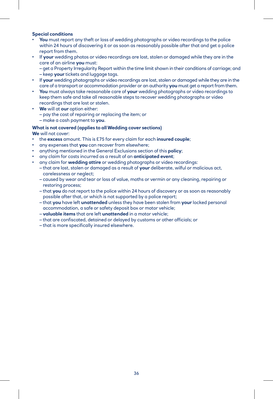#### **Special conditions**

- **You** must report any theft or loss of wedding photographs or video recordings to the police within 24 hours of discovering it or as soon as reasonably possible after that and get a police report from them.
- If **your** wedding photos or video recordings are lost, stolen or damaged while they are in the care of an airline **you** must:
	- get a Property Irregularity Report within the time limit shown in their conditions of carriage; and – keep **your** tickets and luggage tags.
- If **your** wedding photographs or video recordings are lost, stolen or damaged while they are in the care of a transport or accommodation provider or an authority **you** must get a report from them.
- **You** must always take reasonable care of **your** wedding photographs or video recordings to keep them safe and take all reasonable steps to recover wedding photographs or video recordings that are lost or stolen.
- **We** will at **our** option either: – pay the cost of repairing or replacing the item; or – make a cash payment to **you**.

#### **What is not covered (applies to all Wedding cover sections)**

**We** will not cover:

- the **excess** amount. This is £75 for every claim for each **insured couple**;
- any expenses that **you** can recover from elsewhere;
- anything mentioned in the General Exclusions section of this **policy**;
- any claim for costs incurred as a result of an **anticipated event**;
- any claim for **wedding attire** or wedding photographs or video recordings:
	- that are lost, stolen or damaged as a result of **your** deliberate, wilful or malicious act, carelessness or neglect;
	- caused by wear and tear or loss of value, moths or vermin or any cleaning, repairing or restoring process;
	- that **you** do not report to the police within 24 hours of discovery or as soon as reasonably possible after that, or which is not supported by a police report;
	- that **you** have left **unattended** unless they have been stolen from **your** locked personal accommodation, a safe or safety deposit box or motor vehicle;
	- **valuable items** that are left **unattended** in a motor vehicle;
	- that are confiscated, detained or delayed by customs or other officials; or
	- that is more specifically insured elsewhere.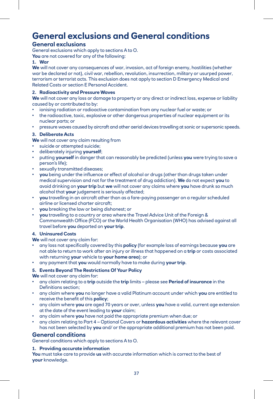# **General exclusions and General conditions**

#### **General exclusions**

General exclusions which apply to sections A to O.

**You** are not covered for any of the following:

#### **1. War**

**We** will not cover any consequences of war, invasion, act of foreign enemy, hostilities (whether war be declared or not), civil war, rebellion, revolution, insurrection, military or usurped power, terrorism or terrorist acts. This exclusion does not apply to section D Emergency Medical and Related Costs or section E Personal Accident.

#### **2. Radioactivity and Pressure Waves**

**We** will not cover any loss or damage to property or any direct or indirect loss, expense or liability caused by or contributed to by:

- ionising radiation or radioactive contamination from any nuclear fuel or waste; or
- the radioactive, toxic, explosive or other dangerous properties of nuclear equipment or its nuclear parts; or
- pressure waves caused by aircraft and other aerial devices travelling at sonic or supersonic speeds.

#### **3. Deliberate Acts**

**We** will not cover any claim resulting from

- suicide or attempted suicide;
- deliberately injuring **yourself**;
- putting **yourself** in danger that can reasonably be predicted (unless **you** were trying to save a person's life);
- sexually transmitted diseases;
- **you** being under the influence or effect of alcohol or drugs (other than drugs taken under medical supervision and not for the treatment of drug addiction). **We** do not expect **you** to avoid drinking on **your trip** but **we** will not cover any claims where **you** have drunk so much alcohol that **your** judgement is seriously affected;
- **you** travelling in an aircraft other than as a fare-paying passenger on a regular scheduled airline or licensed charter aircraft;
- **you** breaking the law or being dishonest; or
- **you** travelling to a country or area where the Travel Advice Unit of the Foreign & Commonwealth Office (FCO) or the World Health Organisation (WHO) has advised against all travel before **you** departed on **your trip**.

#### **4. Uninsured Costs**

**We** will not cover any claim for:

- any loss not specifically covered by this **policy** (for example loss of earnings because **you** are not able to return to work after an injury or illness that happened on a **trip** or costs associated with returning **your** vehicle to **your home area**); or
- any payment that **you** would normally have to make during **your trip**.

#### **5. Events Beyond The Restrictions Of Your Policy**

**We** will not cover any claim for:

- any claim relating to a **trip** outside the **trip** limits please see **Period of insurance** in the Definitions section;
- any claim where **you** no longer have a valid Platinum account under which **you** are entitled to receive the benefit of this **policy**;
- any claim where **you** are aged 70 years or over, unless **you** have a valid, current age extension at the date of the event leading to **your** claim;
- any claim where **you** have not paid the appropriate premium when due; or
- any claim relating to Part 4 Optional Covers or **hazardous activities** where the relevant cover has not been selected by **you** and/ or the appropriate additional premium has not been paid.

#### **General conditions**

General conditions which apply to sections A to O.

#### **1. Providing accurate information**

**You** must take care to provide **us** with accurate information which is correct to the best of **your** knowledge.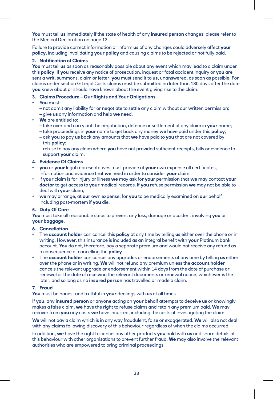**You** must tell **us** immediately if the state of health of any **insured person** changes; please refer to the Medical Declaration on page 13.

Failure to provide correct information or inform **us** of any changes could adversely affect **your policy**, including invalidating **your policy** and causing claims to be rejected or not fully paid.

#### **2. Notification of Claims**

**You** must tell **us** as soon as reasonably possible about any event which may lead to a claim under this **policy**. If **you** receive any notice of prosecution, inquest or fatal accident inquiry or **you** are sent a writ, summons, claim or letter, **you** must send it to **us**, unanswered, as soon as possible. For claims under section G Legal Costs claims must be submitted no later than 180 days after the date **you** knew about or should have known about the event giving rise to the claim.

#### **3. Claims Procedure – Our Rights and Your Obligations**

- **You** must:
	- not admit any liability for or negotiate to settle any claim without our written permission;
	- give **us** any information and help **we** need.
- **We** are entitled to:
	- take over and carry out the negotiation, defence or settlement of any claim in **your** name;
	- take proceedings in **your** name to get back any money **we** have paid under this **policy**;
	- ask **you** to pay **us** back any amounts that **we** have paid to **you** that are not covered by this **policy**;
	- refuse to pay any claim where **you** have not provided sufficient receipts, bills or evidence to support **your** claim.

#### **4. Evidence Of Claims**

- **you** or **your** legal representatives must provide at **your** own expense all certificates, information and evidence that **we** need in order to consider **your** claim;
- if **your** claim is for injury or illness **we** may ask for **your** permission that **we** may contact **your doctor** to get access to **your** medical records. If **you** refuse permission **we** may not be able to deal with **your** claim;
- **we** may arrange, at **our** own expense, for **you** to be medically examined on **our** behalf including post-mortem if **you** die.

#### **5. Duty Of Care**

**You** must take all reasonable steps to prevent any loss, damage or accident involving **you** or **your baggage**.

#### **6. Cancellation**

- The **account holder** can cancel this **policy** at any time by telling **us** either over the phone or in writing. However, this insurance is included as an integral benefit with **your** Platinum bank account. **You** do not, therefore, pay a separate premium and would not receive any refund as a consequence of cancelling the **policy**.
- The **account holder** can cancel any upgrades or endorsements at any time by telling **us** either over the phone or in writing. **We** will not refund any premium unless the **account holder** cancels the relevant upgrade or endorsement within 14 days from the date of purchase or renewal or the date of receiving the relevant documents or renewal notice, whichever is the later, and so long as no **insured person** has travelled or made a claim.

#### **7. Fraud**

**You** must be honest and truthful in **your** dealings with **us** at all times.

If **you**, any **insured person** or anyone acting on **your** behalf attempts to deceive **us** or knowingly makes a false claim, **we** have the right to refuse claims and retain any premium paid. **We** may recover from **you** any costs **we** have incurred, including the costs of investigating the claim.

**We** will not pay a claim which is in any way fraudulent, false or exaggerated. **We** will also not deal with any claims following discovery of this behaviour regardless of when the claims occurred.

In addition, **we** have the right to cancel any other products **you** hold with **us** and share details of this behaviour with other organisations to prevent further fraud. **We** may also involve the relevant authorities who are empowered to bring criminal proceedings.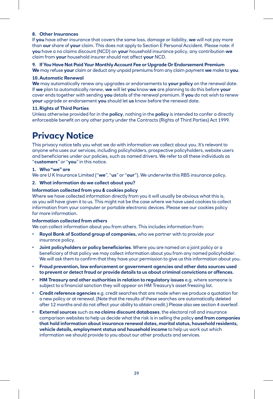#### **8. Other Insurances**

If **you** have other insurance that covers the same loss, damage or liability, **we** will not pay more than **our** share of **your** claim. This does not apply to Section E Personal Accident. Please note: if **you** have a no claims discount (NCD) on **your** household insurance policy, any contribution **we** claim from **your** household insurer should not affect **your** NCD.

**9. If You Have Not Paid Your Monthly Account Fee or Upgrade Or Endorsement Premium We** may refuse **your** claim or deduct any unpaid premiums from any claim payment **we** make to **you**.

#### **10.Automatic Renewal**

**We** may automatically renew any upgrades or endorsements to **your policy** on the renewal date. If **we** plan to automatically renew, **we** will let **you** know **we** are planning to do this before **your** cover ends together with sending **you** details of the renewal premium. If **you** do not wish to renew **your** upgrade or endorsement **you** should let **us** know before the renewal date.

#### **11.Rights of Third Parties**

Unless otherwise provided for in the **policy**, nothing in the **policy** is intended to confer a directly enforceable benefit on any other party under the Contracts (Rights of Third Parties) Act 1999.

### **Privacy Notice**

This privacy notice tells you what we do with information we collect about you. It's relevant to anyone who uses our services, including policyholders, prospective policyholders, website users and beneficiaries under our policies, such as named drivers. We refer to all these individuals as "**customers**" or "**you**" in this notice.

#### **1. Who "we" are**

We are U K Insurance Limited ("**we**", "**us**" or "**our**"). We underwrite this RBS insurance policy.

#### **2. What information do we collect about you?**

#### **Information collected from you & cookies policy**

Where we have collected information directly from you it will usually be obvious what this is, as you will have given it to us. This might not be the case where we have used cookies to collect information from your computer or portable electronic devices. Please see our cookies policy for more information.

#### **Information collected from others**

We can collect information about you from others. This includes information from:

- **Royal Bank of Scotland group of companies,** who we partner with to provide your insurance policy.
- **Joint policyholders or policy beneficiaries**. Where you are named on a joint policy or a beneficiary of that policy we may collect information about you from any named policyholder. We will ask them to confirm that they have your permission to give us this information about you.
- **Fraud prevention, law enforcement or government agencies and other data sources used to prevent or detect fraud or provide details to us about criminal convictions or offences.**
- **HM Treasury and other authorities in relation to regulatory issues** e.g. where someone is subject to a financial sanction they will appear on HM Treasury's asset freezing list.
- **Credit reference agencies** e.g. credit searches that are made when we produce a quotation for a new policy or at renewal. (Note that the results of these searches are automatically deleted after 12 months and do not affect your ability to obtain credit.) Please also see section 4 overleaf.
- **External sources** such as **no claims discount databases**, the electoral roll and insurance comparison websites to help us decide what the risk is in selling the policy **and from companies that hold information about insurance renewal dates, marital status, household residents, vehicle details, employment status and household income** to help us work out which information we should provide to you about our other products and services.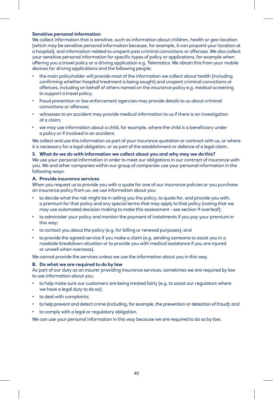#### **Sensitive personal information**

We collect information that is sensitive, such as information about children, health or geo-location (which may be sensitive personal information because, for example, it can pinpoint your location at a hospital), and information related to unspent past criminal convictions or offences. We also collect your sensitive personal information for specific types of policy or applications, for example when offering you a travel policy or a driving application e.g. Telematics. We obtain this from your mobile devices for driving applications and the following people:

- the main policyholder will provide most of the information we collect about health (including confirming whether hospital treatment is being sought) and unspent criminal convictions or offences, including on behalf of others named on the insurance policy e.g. medical screening to support a travel policy;
- fraud prevention or law enforcement agencies may provide details to us about criminal convictions or offences;
- witnesses to an accident may provide medical information to us if there is an investigation of a claim;
- we may use information about a child, for example, where the child is a beneficiary under a policy or if involved in an accident.

We collect and use this information as part of your insurance quotation or contract with us, or where it is necessary for a legal obligation, or as part of the establishment or defence of a legal claim.

#### **3. What do we do with information we collect about you and why may we do this?**

We use your personal information in order to meet our obligations in our contract of insurance with you. We and other companies within our group of companies use your personal information in the following ways:

#### **A. Provide insurance services**

When you request us to provide you with a quote for one of our insurance policies or you purchase an insurance policy from us, we use information about you:

- to decide what the risk might be in selling you the policy, to quote for, and provide you with, a premium for that policy and any special terms that may apply to that policy (noting that we may use automated decision making to make this assessment - see section 9 overleaf);
- to administer your policy and monitor the payment of instalments if you pay your premium in this way;
- to contact you about the policy (e.g. for billing or renewal purposes); and
- to provide the agreed service if you make a claim (e.g. sending someone to assist you in a roadside breakdown situation or to provide you with medical assistance if you are injured or unwell when overseas).

We cannot provide the services unless we use the information about you in this way.

#### **B. Do what we are required to do by law**

As part of our duty as an insurer providing insurance services, sometimes we are required by law to use information about you:

- to help make sure our customers are being treated fairly (e.g. to assist our regulators where we have a legal duty to do so);
- to deal with complaints;
- to help prevent and detect crime (including, for example, the prevention or detection of fraud); and
- to comply with a legal or regulatory obligation.

We can use your personal information in this way because we are required to do so by law.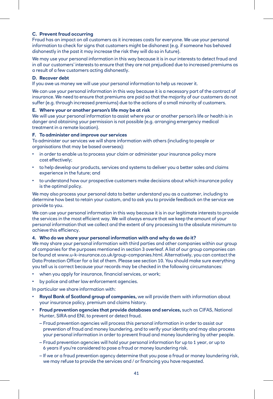#### **C. Prevent fraud occurring**

Fraud has an impact on all customers as it increases costs for everyone. We use your personal information to check for signs that customers might be dishonest (e.g. if someone has behaved dishonestly in the past it may increase the risk they will do so in future).

We may use your personal information in this way because it is in our interests to detect fraud and in all our customers' interests to ensure that they are not prejudiced due to increased premiums as a result of a few customers acting dishonestly.

#### **D. Recover debt**

If you owe us money we will use your personal information to help us recover it.

We can use your personal information in this way because it is a necessary part of the contract of insurance. We need to ensure that premiums are paid so that the majority of our customers do not suffer (e.g. through increased premiums) due to the actions of a small minority of customers.

#### **E. Where your or another person's life may be at risk**

We will use your personal information to assist where your or another person's life or health is in danger and obtaining your permission is not possible (e.g. arranging emergency medical treatment in a remote location).

#### **F. To administer and improve our services**

To administer our services we will share information with others (including to people or organisations that may be based overseas):

- in order to enable us to process your claim or administer your insurance policy more cost effectively;
- to help develop our products, services and systems to deliver you a better sales and claims experience in the future; and
- to understand how our prospective customers make decisions about which insurance policy is the optimal policy.

We may also process your personal data to better understand you as a customer, including to determine how best to retain your custom, and to ask you to provide feedback on the service we provide to you.

We can use your personal information in this way because it is in our legitimate interests to provide the services in the most efficient way. We will always ensure that we keep the amount of your personal information that we collect and the extent of any processing to the absolute minimum to achieve this efficiency.

#### **4. Who do we share your personal information with and why do we do it?**

We may share your personal information with third parties and other companies within our group of companies for the purposes mentioned in section 3 overleaf. A list of our group companies can be found at [www.u-k-insurance.co.uk/group-companies.html.](http://www.u-k-insurance.co.uk/group-companies.html) Alternatively, you can contact the Data Protection Officer for a list of them. Please see section 10. You should make sure everything you tell us is correct because your records may be checked in the following circumstances:

- when you apply for insurance, financial services, or work;
- by police and other law enforcement agencies.

In particular we share information with:

- **Royal Bank of Scotland group of companies,** we will provide them with information about your insurance policy, premium and claims history.
- **Fraud prevention agencies that provide databases and services,** such as CIFAS, National Hunter, SIRA and ENI, to prevent or detect fraud.
	- Fraud prevention agencies will process this personal information in order to assist our prevention of fraud and money laundering, and to verify your identity and may also process your personal information in order to prevent fraud and money laundering by other people.
	- Fraud prevention agencies will hold your personal information for up to 1 year, or up to 6 years if you're considered to pose a fraud or money laundering risk.
	- If we or a fraud prevention agency determine that you pose a fraud or money laundering risk, we may refuse to provide the services and / or financing you have requested.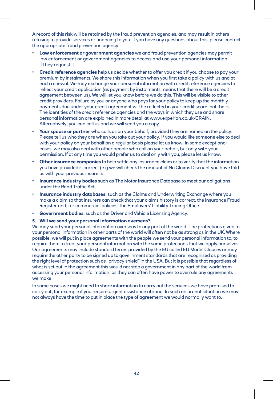A record of this risk will be retained by the fraud prevention agencies, and may result in others refusing to provide services or financing to you. If you have any questions about this, please contact the appropriate fraud prevention agency.

- **Law enforcement or government agencies** we and fraud prevention agencies may permit law enforcement or government agencies to access and use your personal information, if they request it.
- **Credit reference agencies** help us decide whether to offer you credit if you choose to pay your premium by instalments. We share this information when you first take a policy with us and at each renewal. We may exchange your personal information with credit reference agencies to reflect your credit application (as payment by instalments means that there will be a credit agreement between us). We will let you know before we do this. This will be visible to other credit providers. Failure by you or anyone who pays for your policy to keep up the monthly payments due under your credit agreement will be reflected in your credit score, not theirs. The identities of the credit reference agencies and the ways in which they use and share personal information are explained in more detail at [www.experian.co.uk/CRAIN.](http://www.experian.co.uk/CRAIN) Alternatively, you can call us and we will send you a copy.
- **Your spouse or partner** who calls us on your behalf, provided they are named on the policy. Please tell us who they are when you take out your policy. If you would like someone else to deal with your policy on your behalf on a regular basis please let us know. In some exceptional cases, we may also deal with other people who call on your behalf, but only with your permission. If at any time you would prefer us to deal only with you, please let us know.
- **Other insurance companies** to help settle any insurance claim or to verify that the information you have provided is correct (e.g we will check the amount of No Claims Discount you have told us with your previous insurer).
- **Insurance industry bodies** such as The Motor Insurance Database to meet our obligations under the Road Traffic Act.
- **Insurance industry databases**, such as the Claims and Underwriting Exchange where you make a claim so that insurers can check that your claims history is correct, the Insurance Fraud Register and, for commercial policies, the Employers' Liability Tracing Office.
- **Government bodies**, such as the Driver and Vehicle Licensing Agency.

#### **5. Will we send your personal information overseas?**

We may send your personal information overseas to any part of the world. The protections given to your personal information in other parts of the world will often not be as strong as in the UK. Where possible, we will put in place agreements with the people we send your personal information to, to require them to treat your personal information with the same protections that we apply ourselves. Our agreements may include standard terms provided by the EU called EU Model Clauses or may require the other party to be signed up to government standards that are recognised as providing the right level of protection such as "privacy shield" in the USA. But it is possible that regardless of what is set out in the agreement this would not stop a government in any part of the world from accessing your personal information, as they can often have power to overrule any agreements we make.

In some cases we might need to share information to carry out the services we have promised to carry out, for example if you require urgent assistance abroad. In such an urgent situation we may not always have the time to put in place the type of agreement we would normally want to.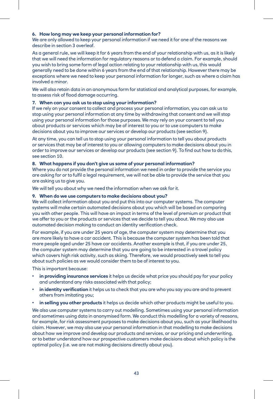#### **6. How long may we keep your personal information for?**

We are only allowed to keep your personal information if we need it for one of the reasons we describe in section 3 overleaf.

As a general rule, we will keep it for 6 years from the end of your relationship with us, as it is likely that we will need the information for regulatory reasons or to defend a claim. For example, should you wish to bring some form of legal action relating to your relationship with us, this would generally need to be done within 6 years from the end of that relationship. However there may be exceptions where we need to keep your personal information for longer, such as where a claim has involved a minor.

We will also retain data in an anonymous form for statistical and analytical purposes, for example, to assess risk of flood damage occurring.

#### **7. When can you ask us to stop using your information?**

If we rely on your consent to collect and process your personal information, you can ask us to stop using your personal information at any time by withdrawing that consent and we will stop using your personal information for those purposes. We may rely on your consent to tell you about products or services which may be of interest to you or to use computers to make decisions about you to improve our services or develop our products (see section 9).

At any time, you can tell us to stop using your personal information to tell you about products or services that may be of interest to you or allowing computers to make decisions about you in order to improve our services or develop our products (see section 9). To find out how to do this, see section 10.

#### **8. What happens if you don't give us some of your personal information?**

Where you do not provide the personal information we need in order to provide the service you are asking for or to fulfil a legal requirement, we will not be able to provide the service that you are asking us to give you.

We will tell you about why we need the information when we ask for it.

#### **9. When do we use computers to make decisions about you?**

We will collect information about you and put this into our computer systems. The computer systems will make certain automated decisions about you which will be based on comparing you with other people. This will have an impact in terms of the level of premium or product that we offer to you or the products or services that we decide to tell you about. We may also use automated decision making to conduct an identity verification check.

For example, if you are under 25 years of age, the computer system may determine that you are more likely to have a car accident. This is because the computer system has been told that more people aged under 25 have car accidents. Another example is that, if you are under 25, the computer system may determine that you are going to be interested in a travel policy which covers high risk activity, such as skiing. Therefore, we would proactively seek to tell you about such policies as we would consider them to be of interest to you.

This is important because:

- **in providing insurance services** it helps us decide what price you should pay for your policy and understand any risks associated with that policy;
- **in identity verification** it helps us to check that you are who you say you are and to prevent others from imitating you;
- **in selling you other products** it helps us decide which other products might be useful to you.

We also use computer systems to carry out modelling. Sometimes using your personal information and sometimes using data in anonymised form. We conduct this modelling for a variety of reasons, for example, for risk assessment purposes to make decisions about you, such as your likelihood to claim. However, we may also use your personal information in that modelling to make decisions about how we improve and develop our products and services, or our pricing and underwriting, or to better understand how our prospective customers make decisions about which policy is the optimal policy (i.e. we are not making decisions directly about you).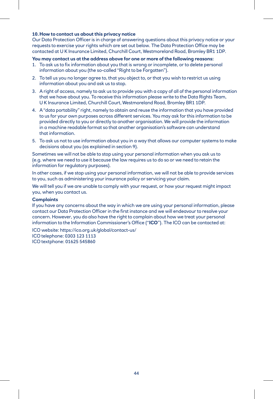#### **10.How to contact us about this privacy notice**

Our Data Protection Officer is in charge of answering questions about this privacy notice or your requests to exercise your rights which are set out below. The Data Protection Office may be contacted at U K Insurance Limited, Churchill Court, Westmoreland Road, Bromley BR1 1DP.

#### **You may contact us at the address above for one or more of the following reasons:**

- 1. To ask us to fix information about you that is wrong or incomplete, or to delete personal information about you (the so-called "Right to be Forgotten").
- 2. To tell us you no longer agree to, that you object to, or that you wish to restrict us using information about you and ask us to stop.
- 3. A right of access, namely to ask us to provide you with a copy of all of the personal information that we have about you. To receive this information please write to the Data Rights Team, U K Insurance Limited, Churchill Court, Westmoreland Road, Bromley BR1 1DP.
- 4. A "data portability" right, namely to obtain and reuse the information that you have provided to us for your own purposes across different services. You may ask for this information to be provided directly to you or directly to another organisation. We will provide the information in a machine readable format so that another organisation's software can understand that information.
- 5. To ask us not to use information about you in a way that allows our computer systems to make decisions about you (as explained in section 9).

Sometimes we will not be able to stop using your personal information when you ask us to (e.g. where we need to use it because the law requires us to do so or we need to retain the information for regulatory purposes).

In other cases, if we stop using your personal information, we will not be able to provide services to you, such as administering your insurance policy or servicing your claim.

We will tell you if we are unable to comply with your request, or how your request might impact you, when you contact us.

#### **Complaints**

If you have any concerns about the way in which we are using your personal information, please contact our Data Protection Officer in the first instance and we will endeavour to resolve your concern. However, you do also have the right to complain about how we treat your personal information to the Information Commissioner's Office ("**ICO**"). The ICO can be contacted at:

ICO website: <https://ico.org.uk/global/contact-us/>

ICO telephone: 0303 123 1113

ICO textphone: 01625 545860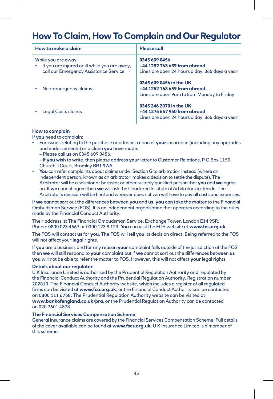# **How To Claim, How To Complain and Our Regulator**

| How to make a claim                                                                                           | Please call                                                                                               |
|---------------------------------------------------------------------------------------------------------------|-----------------------------------------------------------------------------------------------------------|
| While you are away:<br>If you are injured or ill while you are away,<br>call our Emergency Assistance Service | 0345 609 0456<br>+44 1252 763 659 from abroad<br>Lines are open 24 hours a day, 365 days a year           |
| Non-emergency claims                                                                                          | 0345 609 0456 in the UK<br>+44 1252 763 659 from abroad<br>Lines are open 9am to 5pm Monday to Friday     |
| Legal Costs claims                                                                                            | 0345 246 2070 in the UK<br>+44 1275 557 950 from abroad<br>Lines are open 24 hours a day, 365 days a year |

#### **How to complain**

If **you** need to complain:

- For issues relating to the purchase or administration of **your** insurance (including any upgrades and endorsements) or a claim **you** have made:
	- Please call **us** on 0345 609 0456.
	- If **you** wish to write, then please address **your** letter to Customer Relations, P O Box 1150, Churchill Court, Bromley BR1 9WA.
- **You** can refer complaints about claims under Section G to arbitration instead (where an independent person, known as an arbitrator, makes a decision to settle the dispute). The Arbitrator will be a solicitor or barrister or other suitably qualified person that **you** and **we** agree on. If **we** cannot agree then **we** will ask the Chartered Institute of Arbitrators to decide. The Arbitrator's decision will be final and whoever does not win will have to pay all costs and expenses.

If **we** cannot sort out the differences between **you** and **us**, **you** can take the matter to the Financial Ombudsman Service (FOS). It is an independent organisation that operates according to the rules made by the Financial Conduct Authority.

Their address is: The Financial Ombudsman Service, Exchange Tower, London E14 9SR. Phone: 0800 023 4567 or 0300 123 9 123. **You** can visit the FOS website at **[www.fos.org.uk](http://www.fos.org.uk)**

The FOS will contact **us** for **you**. The FOS will tell **you** its decision direct. Being referred to the FOS will not affect your **legal** rights.

If **you** are a business and for any reason **your** complaint falls outside of the jurisdiction of the FOS then **we** will still respond to **your** complaint but if **we** cannot sort out the differences between **us you** will not be able to refer the matter to FOS. However, this will not affect **your** legal rights.

#### **Details about our regulator**

U K Insurance Limited is authorised by the Prudential Regulation Authority and regulated by the Financial Conduct Authority and the Prudential Regulation Authority. Registration number 202810. The Financial Conduct Authority website, which includes a register of all regulated firms can be visited at **[www.fca.org.uk](http://www.fca.org.uk)**, or the Financial Conduct Authority can be contacted on 0800 111 6768. The Prudential Regulation Authority website can be visited at **[www.bankofengland.co.uk/pra](http://www.bankofengland.co.uk/pra)**, or the Prudential Regulation Authority can be contacted on 020 7601 4878.

#### **The Financial Services Compensation Scheme**

General insurance claims are covered by the Financial Services Compensation Scheme. Full details of the cover available can be found at **[www.fscs.org.uk](http://www.fscs.org.uk)**. U K Insurance Limited is a member of this scheme.